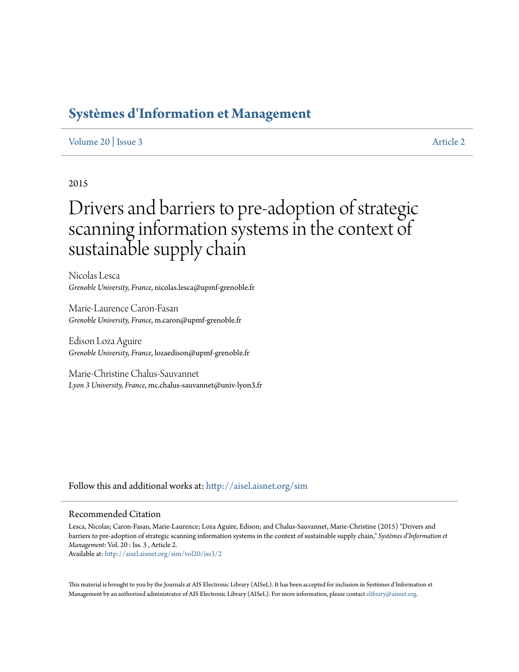## **[Systèmes d'Information et Management](http://aisel.aisnet.org/sim?utm_source=aisel.aisnet.org%2Fsim%2Fvol20%2Fiss3%2F2&utm_medium=PDF&utm_campaign=PDFCoverPages)**

#### [Volume 20](http://aisel.aisnet.org/sim/vol20?utm_source=aisel.aisnet.org%2Fsim%2Fvol20%2Fiss3%2F2&utm_medium=PDF&utm_campaign=PDFCoverPages) | [Issue 3](http://aisel.aisnet.org/sim/vol20/iss3?utm_source=aisel.aisnet.org%2Fsim%2Fvol20%2Fiss3%2F2&utm_medium=PDF&utm_campaign=PDFCoverPages) [Article 2](http://aisel.aisnet.org/sim/vol20/iss3/2?utm_source=aisel.aisnet.org%2Fsim%2Fvol20%2Fiss3%2F2&utm_medium=PDF&utm_campaign=PDFCoverPages)

#### 2015

# Drivers and barriers to pre-adoption of strategic scanning information systems in the context of sustainable supply chain

Nicolas Lesca *Grenoble University, France*, nicolas.lesca@upmf-grenoble.fr

Marie-Laurence Caron-Fasan *Grenoble University, France*, m.caron@upmf-grenoble.fr

Edison Loza Aguire *Grenoble University, France*, lozaedison@upmf-grenoble.fr

Marie-Christine Chalus-Sauvannet *Lyon 3 University, France*, mc.chalus-sauvannet@univ-lyon3.fr

Follow this and additional works at: [http://aisel.aisnet.org/sim](http://aisel.aisnet.org/sim?utm_source=aisel.aisnet.org%2Fsim%2Fvol20%2Fiss3%2F2&utm_medium=PDF&utm_campaign=PDFCoverPages)

#### Recommended Citation

Lesca, Nicolas; Caron-Fasan, Marie-Laurence; Loza Aguire, Edison; and Chalus-Sauvannet, Marie-Christine (2015) "Drivers and barriers to pre-adoption of strategic scanning information systems in the context of sustainable supply chain," *Systèmes d'Information et Management*: Vol. 20 : Iss. 3 , Article 2.

Available at: [http://aisel.aisnet.org/sim/vol20/iss3/2](http://aisel.aisnet.org/sim/vol20/iss3/2?utm_source=aisel.aisnet.org%2Fsim%2Fvol20%2Fiss3%2F2&utm_medium=PDF&utm_campaign=PDFCoverPages)

This material is brought to you by the Journals at AIS Electronic Library (AISeL). It has been accepted for inclusion in Systèmes d'Information et Management by an authorized administrator of AIS Electronic Library (AISeL). For more information, please contact [elibrary@aisnet.org](mailto:elibrary@aisnet.org%3E).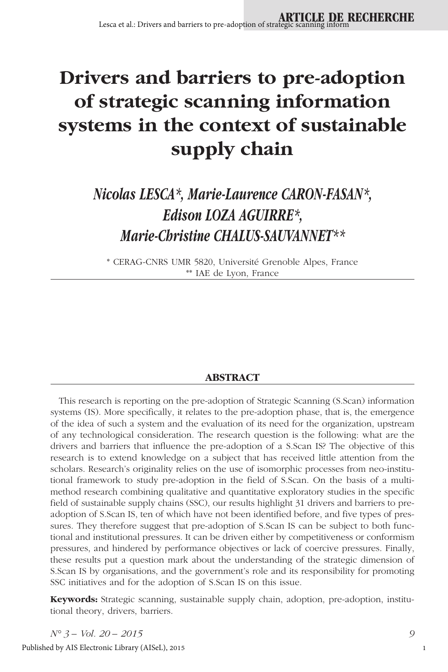# **Drivers and barriers to pre-adoption of strategic scanning information systems in the context of sustainable supply chain**

## *Nicolas LESCA\*, Marie-Laurence CARON-FASAN\*, Edison LOZA AGUIRRE\*, Marie-Christine CHALUS-SAUVANNET\*\**

\* CERAG-CNRS UMR 5820, Université Grenoble Alpes, France \*\* IAE de Lyon, France

#### **ABSTRACT**

This research is reporting on the pre-adoption of Strategic Scanning (S.Scan) information systems (IS). More specifically, it relates to the pre-adoption phase, that is, the emergence of the idea of such a system and the evaluation of its need for the organization, upstream of any technological consideration. The research question is the following: what are the drivers and barriers that influence the pre-adoption of a S.Scan IS? The objective of this research is to extend knowledge on a subject that has received little attention from the scholars. Research's originality relies on the use of isomorphic processes from neo-institutional framework to study pre-adoption in the field of S.Scan. On the basis of a multimethod research combining qualitative and quantitative exploratory studies in the specific field of sustainable supply chains (SSC), our results highlight 31 drivers and barriers to preadoption of S.Scan IS, ten of which have not been identified before, and five types of pressures. They therefore suggest that pre-adoption of S.Scan IS can be subject to both functional and institutional pressures. It can be driven either by competitiveness or conformism pressures, and hindered by performance objectives or lack of coercive pressures. Finally, these results put a question mark about the understanding of the strategic dimension of S.Scan IS by organisations, and the government's role and its responsibility for promoting SSC initiatives and for the adoption of S.Scan IS on this issue.

**Keywords:** Strategic scanning, sustainable supply chain, adoption, pre-adoption, institutional theory, drivers, barriers.

*N° 3 – Vol. 20 – 2015 9* Published by AIS Electronic Library (AISeL), 2015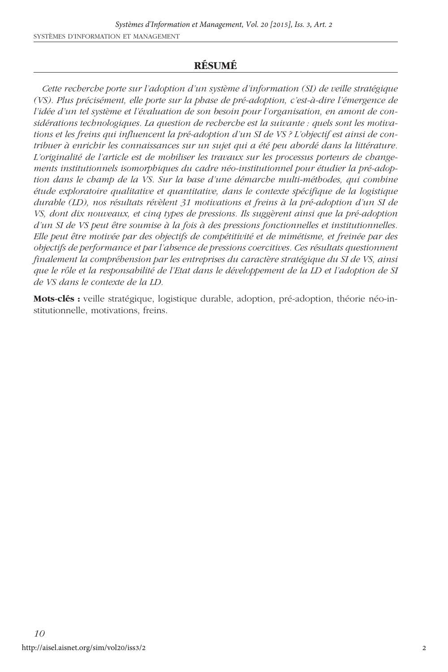#### **RÉSUMÉ**

*Cette recherche porte sur l'adoption d'un système d'information (SI) de veille stratégique (VS). Plus précisément, elle porte sur la phase de pré-adoption, c'est-à-dire l'émergence de l'idée d'un tel système et l'évaluation de son besoin pour l'organisation, en amont de considérations technologiques. La question de recherche est la suivante : quels sont les motivations et les freins qui influencent la pré-adoption d'un SI de VS ? L'objectif est ainsi de contribuer à enrichir les connaissances sur un sujet qui a été peu abordé dans la littérature. L'originalité de l'article est de mobiliser les travaux sur les processus porteurs de changements institutionnels isomorphiques du cadre néo-institutionnel pour étudier la pré-adoption dans le champ de la VS. Sur la base d'une démarche multi-méthodes, qui combine étude exploratoire qualitative et quantitative, dans le contexte spécifique de la logistique durable (LD), nos résultats révèlent 31 motivations et freins à la pré-adoption d'un SI de VS, dont dix nouveaux, et cinq types de pressions. Ils suggèrent ainsi que la pré-adoption d'un SI de VS peut être soumise à la fois à des pressions fonctionnelles et institutionnelles. Elle peut être motivée par des objectifs de compétitivité et de mimétisme, et freinée par des objectifs de performance et par l'absence de pressions coercitives. Ces résultats questionnent finalement la compréhension par les entreprises du caractère stratégique du SI de VS, ainsi que le rôle et la responsabilité de l'Etat dans le développement de la LD et l'adoption de SI de VS dans le contexte de la LD.*

**Mots-clés :** veille stratégique, logistique durable, adoption, pré-adoption, théorie néo-institutionnelle, motivations, freins.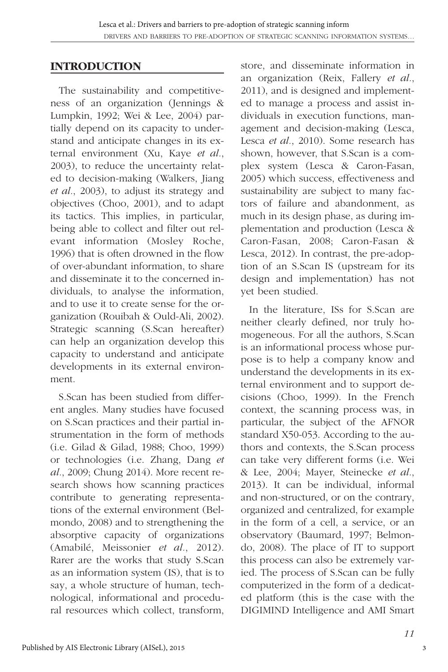#### **INTRODUCTION**

The sustainability and competitiveness of an organization (Jennings & Lumpkin, 1992; Wei & Lee, 2004) partially depend on its capacity to understand and anticipate changes in its external environment (Xu, Kaye *et al.*, 2003), to reduce the uncertainty related to decision-making (Walkers, Jiang *et al.*, 2003), to adjust its strategy and objectives (Choo, 2001), and to adapt its tactics. This implies, in particular, being able to collect and filter out relevant information (Mosley Roche, 1996) that is often drowned in the flow of over-abundant information, to share and disseminate it to the concerned individuals, to analyse the information, and to use it to create sense for the organization (Rouibah & Ould-Ali, 2002). Strategic scanning (S.Scan hereafter) can help an organization develop this capacity to understand and anticipate developments in its external environment.

S.Scan has been studied from different angles. Many studies have focused on S.Scan practices and their partial instrumentation in the form of methods (i.e. Gilad & Gilad, 1988; Choo, 1999) or technologies (i.e. Zhang, Dang *et al.*, 2009; Chung 2014). More recent research shows how scanning practices contribute to generating representations of the external environment (Belmondo, 2008) and to strengthening the absorptive capacity of organizations (Amabilé, Meissonier *et al.*, 2012). Rarer are the works that study S.Scan as an information system (IS), that is to say, a whole structure of human, technological, informational and procedural resources which collect, transform,

store, and disseminate information in an organization (Reix, Fallery *et al.*, 2011), and is designed and implemented to manage a process and assist individuals in execution functions, management and decision-making (Lesca, Lesca *et al.*, 2010). Some research has shown, however, that S.Scan is a complex system (Lesca & Caron-Fasan, 2005) which success, effectiveness and sustainability are subject to many factors of failure and abandonment, as much in its design phase, as during implementation and production (Lesca & Caron-Fasan, 2008; Caron-Fasan & Lesca, 2012). In contrast, the pre-adoption of an S.Scan IS (upstream for its design and implementation) has not yet been studied.

In the literature, ISs for S.Scan are neither clearly defined, nor truly homogeneous. For all the authors, S.Scan is an informational process whose purpose is to help a company know and understand the developments in its external environment and to support decisions (Choo, 1999). In the French context, the scanning process was, in particular, the subject of the AFNOR standard X50-053. According to the authors and contexts, the S.Scan process can take very different forms (i.e. Wei & Lee, 2004; Mayer, Steinecke *et al.*, 2013). It can be individual, informal and non-structured, or on the contrary, organized and centralized, for example in the form of a cell, a service, or an observatory (Baumard, 1997; Belmondo, 2008). The place of IT to support this process can also be extremely varied. The process of S.Scan can be fully computerized in the form of a dedicated platform (this is the case with the DIGIMIND Intelligence and AMI Smart

3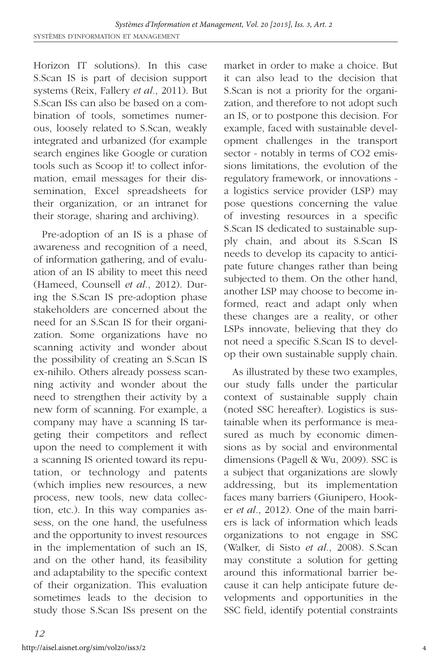Horizon IT solutions). In this case S.Scan IS is part of decision support systems (Reix, Fallery *et al.*, 2011). But S.Scan ISs can also be based on a combination of tools, sometimes numerous, loosely related to S.Scan, weakly integrated and urbanized (for example search engines like Google or curation tools such as Scoop it! to collect information, email messages for their dissemination, Excel spreadsheets for their organization, or an intranet for their storage, sharing and archiving).

Pre-adoption of an IS is a phase of awareness and recognition of a need, of information gathering, and of evaluation of an IS ability to meet this need (Hameed, Counsell *et al.*, 2012). During the S.Scan IS pre-adoption phase stakeholders are concerned about the need for an S.Scan IS for their organization. Some organizations have no scanning activity and wonder about the possibility of creating an S.Scan IS ex-nihilo. Others already possess scanning activity and wonder about the need to strengthen their activity by a new form of scanning. For example, a company may have a scanning IS targeting their competitors and reflect upon the need to complement it with a scanning IS oriented toward its reputation, or technology and patents (which implies new resources, a new process, new tools, new data collection, etc.). In this way companies assess, on the one hand, the usefulness and the opportunity to invest resources in the implementation of such an IS, and on the other hand, its feasibility and adaptability to the specific context of their organization. This evaluation sometimes leads to the decision to study those S.Scan ISs present on the

market in order to make a choice. But it can also lead to the decision that S.Scan is not a priority for the organization, and therefore to not adopt such an IS, or to postpone this decision. For example, faced with sustainable development challenges in the transport sector - notably in terms of CO2 emissions limitations, the evolution of the regulatory framework, or innovations a logistics service provider (LSP) may pose questions concerning the value of investing resources in a specific S.Scan IS dedicated to sustainable supply chain, and about its S.Scan IS needs to develop its capacity to anticipate future changes rather than being subjected to them. On the other hand, another LSP may choose to become informed, react and adapt only when these changes are a reality, or other LSPs innovate, believing that they do not need a specific S.Scan IS to develop their own sustainable supply chain.

As illustrated by these two examples, our study falls under the particular context of sustainable supply chain (noted SSC hereafter). Logistics is sustainable when its performance is measured as much by economic dimensions as by social and environmental dimensions (Pagell & Wu, 2009). SSC is a subject that organizations are slowly addressing, but its implementation faces many barriers (Giunipero, Hooker *et al.*, 2012). One of the main barriers is lack of information which leads organizations to not engage in SSC (Walker, di Sisto *et al.*, 2008). S.Scan may constitute a solution for getting around this informational barrier because it can help anticipate future developments and opportunities in the SSC field, identify potential constraints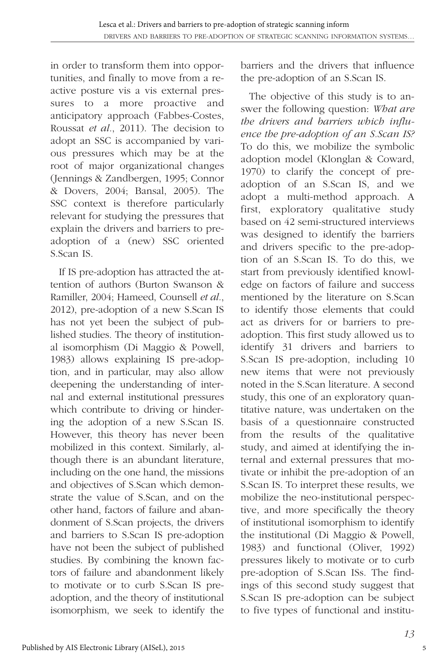in order to transform them into opportunities, and finally to move from a reactive posture vis a vis external pressures to a more proactive and anticipatory approach (Fabbes-Costes, Roussat *et al.*, 2011). The decision to adopt an SSC is accompanied by various pressures which may be at the root of major organizational changes (Jennings & Zandbergen, 1995; Connor & Dovers, 2004; Bansal, 2005). The SSC context is therefore particularly relevant for studying the pressures that explain the drivers and barriers to preadoption of a (new) SSC oriented S.Scan IS.

If IS pre-adoption has attracted the attention of authors (Burton Swanson & Ramiller, 2004; Hameed, Counsell *et al.*, 2012), pre-adoption of a new S.Scan IS has not yet been the subject of published studies. The theory of institutional isomorphism (Di Maggio & Powell, 1983) allows explaining IS pre-adoption, and in particular, may also allow deepening the understanding of internal and external institutional pressures which contribute to driving or hindering the adoption of a new S.Scan IS. However, this theory has never been mobilized in this context. Similarly, although there is an abundant literature, including on the one hand, the missions and objectives of S.Scan which demonstrate the value of S.Scan, and on the other hand, factors of failure and abandonment of S.Scan projects, the drivers and barriers to S.Scan IS pre-adoption have not been the subject of published studies. By combining the known factors of failure and abandonment likely to motivate or to curb S.Scan IS preadoption, and the theory of institutional isomorphism, we seek to identify the barriers and the drivers that influence the pre-adoption of an S.Scan IS.

The objective of this study is to answer the following question: *What are the drivers and barriers which influence the pre-adoption of an S.Scan IS?* To do this, we mobilize the symbolic adoption model (Klonglan & Coward, 1970) to clarify the concept of preadoption of an S.Scan IS, and we adopt a multi-method approach. A first, exploratory qualitative study based on 42 semi-structured interviews was designed to identify the barriers and drivers specific to the pre-adoption of an S.Scan IS. To do this, we start from previously identified knowledge on factors of failure and success mentioned by the literature on S.Scan to identify those elements that could act as drivers for or barriers to preadoption. This first study allowed us to identify 31 drivers and barriers to S.Scan IS pre-adoption, including 10 new items that were not previously noted in the S.Scan literature. A second study, this one of an exploratory quantitative nature, was undertaken on the basis of a questionnaire constructed from the results of the qualitative study, and aimed at identifying the internal and external pressures that motivate or inhibit the pre-adoption of an S.Scan IS. To interpret these results, we mobilize the neo-institutional perspective, and more specifically the theory of institutional isomorphism to identify the institutional (Di Maggio & Powell, 1983) and functional (Oliver, 1992) pressures likely to motivate or to curb pre-adoption of S.Scan ISs. The findings of this second study suggest that S.Scan IS pre-adoption can be subject to five types of functional and institu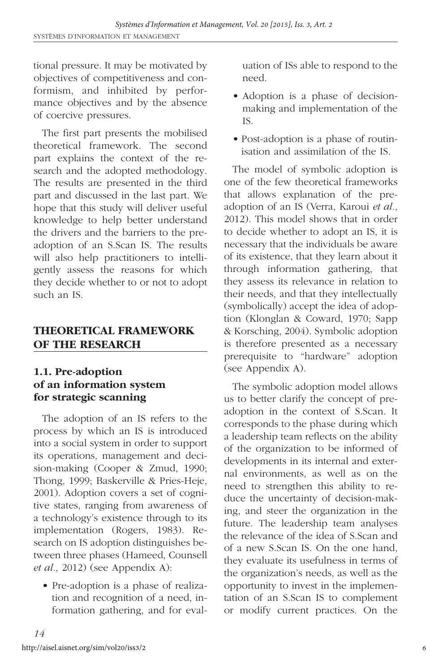tional pressure. It may be motivated by objectives of competitiveness and conformism, and inhibited by performance objectives and by the absence of coercive pressures.

The first part presents the mobilised theoretical framework. The second part explains the context of the research and the adopted methodology. The results are presented in the third part and discussed in the last part. We hope that this study will deliver useful knowledge to help better understand the drivers and the barriers to the preadoption of an S.Scan IS. The results will also help practitioners to intelligently assess the reasons for which they decide whether to or not to adopt such an IS.

#### **THEORETICAL FRAMEWORK OF THE RESEARCH**

#### **1.1. Pre-adoption of an information system for strategic scanning**

The adoption of an IS refers to the process by which an IS is introduced into a social system in order to support its operations, management and decision-making (Cooper & Zmud, 1990; Thong, 1999; Baskerville & Pries-Heje, 2001). Adoption covers a set of cognitive states, ranging from awareness of a technology's existence through to its implementation (Rogers, 1983). Research on IS adoption distinguishes between three phases (Hameed, Counsell *et al.*, 2012) (see Appendix A):

• Pre-adoption is a phase of realization and recognition of a need, information gathering, and for evaluation of ISs able to respond to the need.

- Adoption is a phase of decisionmaking and implementation of the IS.
- Post-adoption is a phase of routinisation and assimilation of the IS.

The model of symbolic adoption is one of the few theoretical frameworks that allows explanation of the preadoption of an IS (Verra, Karoui *et al.*, 2012). This model shows that in order to decide whether to adopt an IS, it is necessary that the individuals be aware of its existence, that they learn about it through information gathering, that they assess its relevance in relation to their needs, and that they intellectually (symbolically) accept the idea of adoption (Klonglan & Coward, 1970; Sapp & Korsching, 2004). Symbolic adoption is therefore presented as a necessary prerequisite to "hardware" adoption (see Appendix A).

The symbolic adoption model allows us to better clarify the concept of preadoption in the context of S.Scan. It corresponds to the phase during which a leadership team reflects on the ability of the organization to be informed of developments in its internal and external environments, as well as on the need to strengthen this ability to reduce the uncertainty of decision-making, and steer the organization in the future. The leadership team analyses the relevance of the idea of S.Scan and of a new S.Scan IS. On the one hand, they evaluate its usefulness in terms of the organization's needs, as well as the opportunity to invest in the implementation of an S.Scan IS to complement or modify current practices. On the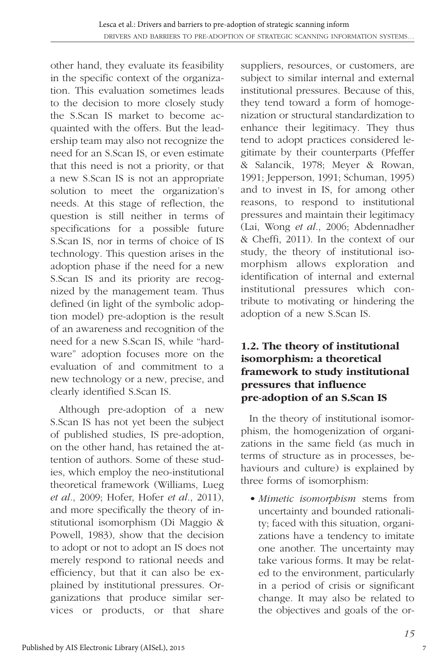other hand, they evaluate its feasibility in the specific context of the organization. This evaluation sometimes leads to the decision to more closely study the S.Scan IS market to become acquainted with the offers. But the leadership team may also not recognize the need for an S.Scan IS, or even estimate that this need is not a priority, or that a new S.Scan IS is not an appropriate solution to meet the organization's needs. At this stage of reflection, the question is still neither in terms of specifications for a possible future S.Scan IS, nor in terms of choice of IS technology. This question arises in the adoption phase if the need for a new S.Scan IS and its priority are recognized by the management team. Thus defined (in light of the symbolic adoption model) pre-adoption is the result of an awareness and recognition of the need for a new S.Scan IS, while "hardware" adoption focuses more on the evaluation of and commitment to a new technology or a new, precise, and clearly identified S.Scan IS.

Although pre-adoption of a new S.Scan IS has not yet been the subject of published studies, IS pre-adoption, on the other hand, has retained the attention of authors. Some of these studies, which employ the neo-institutional theoretical framework (Williams, Lueg *et al.*, 2009; Hofer, Hofer *et al.*, 2011), and more specifically the theory of institutional isomorphism (Di Maggio & Powell, 1983), show that the decision to adopt or not to adopt an IS does not merely respond to rational needs and efficiency, but that it can also be explained by institutional pressures. Organizations that produce similar services or products, or that share

suppliers, resources, or customers, are subject to similar internal and external institutional pressures. Because of this, they tend toward a form of homogenization or structural standardization to enhance their legitimacy. They thus tend to adopt practices considered legitimate by their counterparts (Pfeffer & Salancik, 1978; Meyer & Rowan, 1991; Jepperson, 1991; Schuman, 1995) and to invest in IS, for among other reasons, to respond to institutional pressures and maintain their legitimacy (Lai, Wong *et al.*, 2006; Abdennadher & Cheffi, 2011). In the context of our study, the theory of institutional isomorphism allows exploration and identification of internal and external institutional pressures which contribute to motivating or hindering the adoption of a new S.Scan IS.

#### **1.2. The theory of institutional isomorphism: a theoretical framework to study institutional pressures that influence pre-adoption of an S.Scan IS**

In the theory of institutional isomorphism, the homogenization of organizations in the same field (as much in terms of structure as in processes, behaviours and culture) is explained by three forms of isomorphism:

*• Mimetic isomorphism* stems from uncertainty and bounded rationality; faced with this situation, organizations have a tendency to imitate one another. The uncertainty may take various forms. It may be related to the environment, particularly in a period of crisis or significant change. It may also be related to the objectives and goals of the or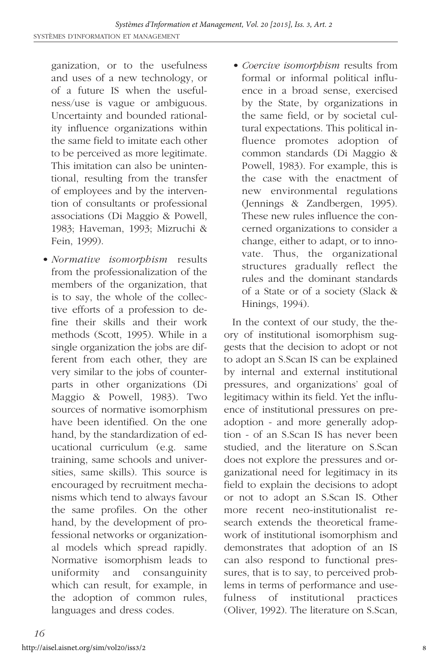ganization, or to the usefulness and uses of a new technology, or of a future IS when the usefulness/use is vague or ambiguous. Uncertainty and bounded rationality influence organizations within the same field to imitate each other to be perceived as more legitimate. This imitation can also be unintentional, resulting from the transfer of employees and by the intervention of consultants or professional associations (Di Maggio & Powell, 1983; Haveman, 1993; Mizruchi & Fein, 1999).

- *Normative isomorphism* results from the professionalization of the members of the organization, that is to say, the whole of the collective efforts of a profession to define their skills and their work methods (Scott, 1995). While in a single organization the jobs are different from each other, they are very similar to the jobs of counterparts in other organizations (Di Maggio & Powell, 1983). Two sources of normative isomorphism have been identified. On the one hand, by the standardization of educational curriculum (e.g. same training, same schools and universities, same skills). This source is encouraged by recruitment mechanisms which tend to always favour the same profiles. On the other hand, by the development of professional networks or organizational models which spread rapidly. Normative isomorphism leads to uniformity and consanguinity which can result, for example, in the adoption of common rules, languages and dress codes.
- *Coercive isomorphism* results from formal or informal political influence in a broad sense, exercised by the State, by organizations in the same field, or by societal cultural expectations. This political influence promotes adoption of common standards (Di Maggio & Powell, 1983). For example, this is the case with the enactment of new environmental regulations (Jennings & Zandbergen, 1995). These new rules influence the concerned organizations to consider a change, either to adapt, or to innovate. Thus, the organizational structures gradually reflect the rules and the dominant standards of a State or of a society (Slack & Hinings, 1994).

In the context of our study, the theory of institutional isomorphism suggests that the decision to adopt or not to adopt an S.Scan IS can be explained by internal and external institutional pressures, and organizations' goal of legitimacy within its field. Yet the influence of institutional pressures on preadoption - and more generally adoption - of an S.Scan IS has never been studied, and the literature on S.Scan does not explore the pressures and organizational need for legitimacy in its field to explain the decisions to adopt or not to adopt an S.Scan IS. Other more recent neo-institutionalist research extends the theoretical framework of institutional isomorphism and demonstrates that adoption of an IS can also respond to functional pressures, that is to say, to perceived problems in terms of performance and usefulness of institutional practices (Oliver, 1992). The literature on S.Scan,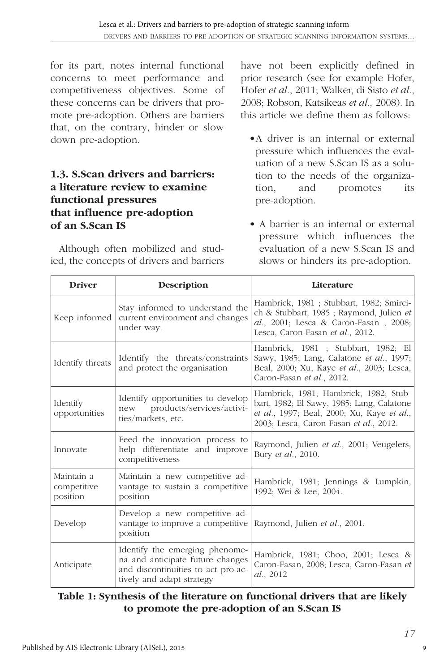for its part, notes internal functional concerns to meet performance and competitiveness objectives. Some of these concerns can be drivers that promote pre-adoption. Others are barriers that, on the contrary, hinder or slow down pre-adoption.

#### **1.3. S.Scan drivers and barriers: a literature review to examine functional pressures that influence pre-adoption of an S.Scan IS**

Although often mobilized and studied, the concepts of drivers and barriers have not been explicitly defined in prior research (see for example Hofer, Hofer *et al.*, 2011; Walker, di Sisto *et al.*, 2008; Robson, Katsikeas *et al.,* 2008). In this article we define them as follows:

- •A driver is an internal or external pressure which influences the evaluation of a new S.Scan IS as a solution to the needs of the organization, and promotes its pre-adoption.
- A barrier is an internal or external pressure which influences the evaluation of a new S.Scan IS and slows or hinders its pre-adoption.

| <b>Driver</b>                         | Description                                                                                                                           | Literature                                                                                                                                                                 |
|---------------------------------------|---------------------------------------------------------------------------------------------------------------------------------------|----------------------------------------------------------------------------------------------------------------------------------------------------------------------------|
| Keep informed                         | Stay informed to understand the<br>current environment and changes<br>under way.                                                      | Hambrick, 1981; Stubbart, 1982; Smirci-<br>ch & Stubbart, 1985 ; Raymond, Julien et<br>al., 2001; Lesca & Caron-Fasan, 2008;<br>Lesca, Caron-Fasan et al., 2012.           |
| Identify threats                      | Identify the threats/constraints<br>and protect the organisation                                                                      | Hambrick, 1981 ; Stubbart, 1982; El<br>Sawy, 1985; Lang, Calatone et al., 1997;<br>Beal, 2000; Xu, Kaye et al., 2003; Lesca,<br>Caron-Fasan et al., 2012.                  |
| Identify<br>opportunities             | Identify opportunities to develop<br>products/services/activi-<br>new<br>ties/markets, etc.                                           | Hambrick, 1981; Hambrick, 1982; Stub-<br>bart, 1982; El Sawy, 1985; Lang, Calatone<br>et al., 1997; Beal, 2000; Xu, Kaye et al.,<br>2003; Lesca, Caron-Fasan et al., 2012. |
| Innovate                              | Feed the innovation process to<br>help differentiate and improve<br>competitiveness                                                   | Raymond, Julien et al., 2001; Veugelers,<br>Bury et al., 2010.                                                                                                             |
| Maintain a<br>competitive<br>position | Maintain a new competitive ad-<br>vantage to sustain a competitive<br>position                                                        | Hambrick, 1981; Jennings & Lumpkin,<br>1992; Wei & Lee, 2004.                                                                                                              |
| Develop                               | Develop a new competitive ad-<br>vantage to improve a competitive<br>position                                                         | Raymond, Julien et al., 2001.                                                                                                                                              |
| Anticipate                            | Identify the emerging phenome-<br>na and anticipate future changes<br>and discontinuities to act pro-ac-<br>tively and adapt strategy | Hambrick, 1981; Choo, 2001; Lesca &<br>Caron-Fasan, 2008; Lesca, Caron-Fasan et<br>al., 2012                                                                               |

#### **Table 1: Synthesis of the literature on functional drivers that are likely to promote the pre-adoption of an S.Scan IS**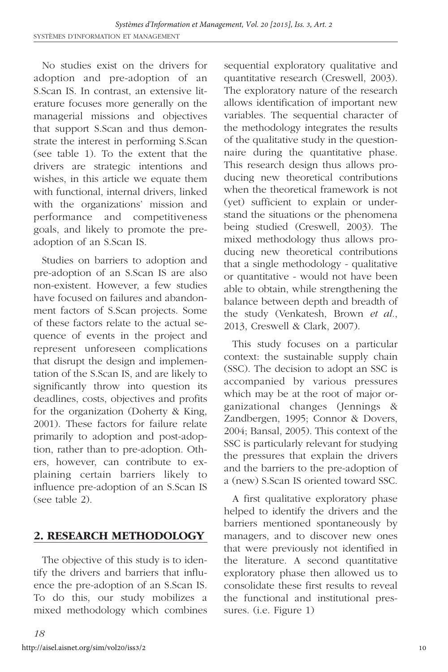No studies exist on the drivers for adoption and pre-adoption of an S.Scan IS. In contrast, an extensive literature focuses more generally on the managerial missions and objectives that support S.Scan and thus demonstrate the interest in performing S.Scan (see table 1). To the extent that the drivers are strategic intentions and wishes, in this article we equate them with functional, internal drivers, linked with the organizations' mission and performance and competitiveness goals, and likely to promote the preadoption of an S.Scan IS.

Studies on barriers to adoption and pre-adoption of an S.Scan IS are also non-existent. However, a few studies have focused on failures and abandonment factors of S.Scan projects. Some of these factors relate to the actual sequence of events in the project and represent unforeseen complications that disrupt the design and implementation of the S.Scan IS, and are likely to significantly throw into question its deadlines, costs, objectives and profits for the organization (Doherty & King, 2001). These factors for failure relate primarily to adoption and post-adoption, rather than to pre-adoption. Others, however, can contribute to explaining certain barriers likely to influence pre-adoption of an S.Scan IS (see table 2).

#### **2. RESEARCH METHODOLOGY**

The objective of this study is to identify the drivers and barriers that influence the pre-adoption of an S.Scan IS. To do this, our study mobilizes a mixed methodology which combines sequential exploratory qualitative and quantitative research (Creswell, 2003). The exploratory nature of the research allows identification of important new variables. The sequential character of the methodology integrates the results of the qualitative study in the questionnaire during the quantitative phase. This research design thus allows producing new theoretical contributions when the theoretical framework is not (yet) sufficient to explain or understand the situations or the phenomena being studied (Creswell, 2003). The mixed methodology thus allows producing new theoretical contributions that a single methodology - qualitative or quantitative - would not have been able to obtain, while strengthening the balance between depth and breadth of the study (Venkatesh, Brown *et al.*, 2013, Creswell & Clark, 2007).

This study focuses on a particular context: the sustainable supply chain (SSC). The decision to adopt an SSC is accompanied by various pressures which may be at the root of major organizational changes (Jennings & Zandbergen, 1995; Connor & Dovers, 2004; Bansal, 2005). This context of the SSC is particularly relevant for studying the pressures that explain the drivers and the barriers to the pre-adoption of a (new) S.Scan IS oriented toward SSC.

A first qualitative exploratory phase helped to identify the drivers and the barriers mentioned spontaneously by managers, and to discover new ones that were previously not identified in the literature. A second quantitative exploratory phase then allowed us to consolidate these first results to reveal the functional and institutional pressures. (i.e. Figure 1)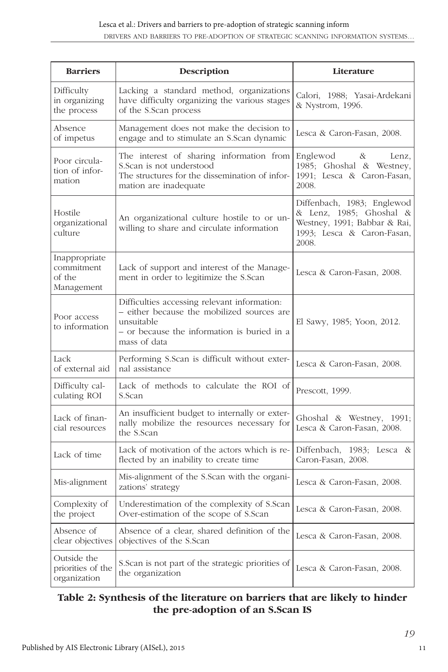| <b>Barriers</b>                                     | Description                                                                                                                                                             | Literature                                                                                                                   |
|-----------------------------------------------------|-------------------------------------------------------------------------------------------------------------------------------------------------------------------------|------------------------------------------------------------------------------------------------------------------------------|
| Difficulty<br>in organizing<br>the process          | Lacking a standard method, organizations<br>have difficulty organizing the various stages<br>of the S.Scan process                                                      | Calori, 1988; Yasai-Ardekani<br>& Nystrom, 1996.                                                                             |
| Absence<br>of impetus                               | Management does not make the decision to<br>engage and to stimulate an S.Scan dynamic                                                                                   | Lesca & Caron-Fasan, 2008.                                                                                                   |
| Poor circula-<br>tion of infor-<br>mation           | The interest of sharing information from<br>S. Scan is not understood<br>The structures for the dissemination of infor-<br>mation are inadequate                        | Englewod<br>$\alpha$<br>Lenz,<br>1985; Ghoshal & Westney,<br>1991; Lesca & Caron-Fasan,<br>2008.                             |
| Hostile<br>organizational<br>culture                | An organizational culture hostile to or un-<br>willing to share and circulate information                                                                               | Diffenbach, 1983; Englewod<br>& Lenz, 1985; Ghoshal &<br>Westney, 1991; Babbar & Rai,<br>1993; Lesca & Caron-Fasan,<br>2008. |
| Inappropriate<br>commitment<br>of the<br>Management | Lack of support and interest of the Manage-<br>ment in order to legitimize the S.Scan                                                                                   | Lesca & Caron-Fasan, 2008.                                                                                                   |
| Poor access<br>to information                       | Difficulties accessing relevant information:<br>- either because the mobilized sources are<br>unsuitable<br>- or because the information is buried in a<br>mass of data | El Sawy, 1985; Yoon, 2012.                                                                                                   |
| Lack<br>of external aid                             | Performing S.Scan is difficult without exter-<br>nal assistance                                                                                                         | Lesca & Caron-Fasan, 2008.                                                                                                   |
| Difficulty cal-<br>culating ROI                     | Lack of methods to calculate the ROI of<br>S.Scan                                                                                                                       | Prescott, 1999.                                                                                                              |
| Lack of finan-<br>cial resources                    | An insufficient budget to internally or exter-<br>nally mobilize the resources necessary for<br>the S.Scan                                                              | Ghoshal & Westney, 1991;<br>Lesca & Caron-Fasan, 2008.                                                                       |
| Lack of time                                        | Lack of motivation of the actors which is re-<br>flected by an inability to create time                                                                                 | Diffenbach, 1983; Lesca &<br>Caron-Fasan, 2008.                                                                              |
| Mis-alignment                                       | Mis-alignment of the S.Scan with the organi-<br>zations' strategy                                                                                                       | Lesca & Caron-Fasan, 2008.                                                                                                   |
| Complexity of<br>the project                        | Underestimation of the complexity of S.Scan<br>Over-estimation of the scope of S.Scan                                                                                   | Lesca & Caron-Fasan, 2008.                                                                                                   |
| Absence of<br>clear objectives                      | Absence of a clear, shared definition of the<br>objectives of the S.Scan                                                                                                | Lesca & Caron-Fasan, 2008.                                                                                                   |
| Outside the<br>priorities of the<br>organization    | S. Scan is not part of the strategic priorities of<br>the organization                                                                                                  | Lesca & Caron-Fasan, 2008.                                                                                                   |

#### **Table 2: Synthesis of the literature on barriers that are likely to hinder the pre-adoption of an S.Scan IS**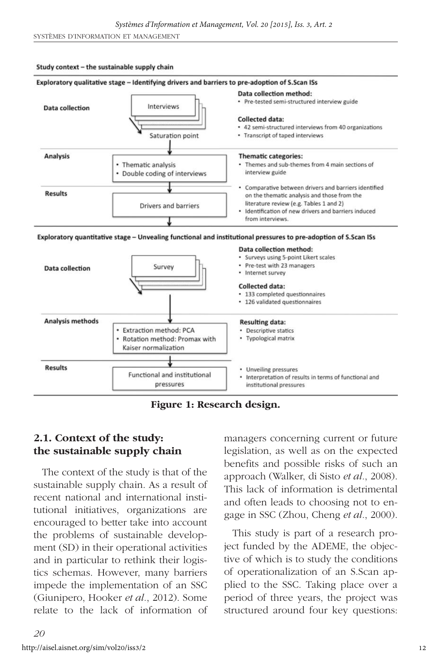#### Study context - the sustainable supply chain



**Figure 1: Research design.**

#### **2.1. Context of the study: the sustainable supply chain**

The context of the study is that of the sustainable supply chain. As a result of recent national and international institutional initiatives, organizations are encouraged to better take into account the problems of sustainable development (SD) in their operational activities and in particular to rethink their logistics schemas. However, many barriers impede the implementation of an SSC (Giunipero, Hooker *et al.*, 2012). Some relate to the lack of information of managers concerning current or future legislation, as well as on the expected benefits and possible risks of such an approach (Walker, di Sisto *et al.*, 2008). This lack of information is detrimental and often leads to choosing not to engage in SSC (Zhou, Cheng *et al.*, 2000).

This study is part of a research project funded by the ADEME, the objective of which is to study the conditions of operationalization of an S.Scan applied to the SSC. Taking place over a period of three years, the project was structured around four key questions: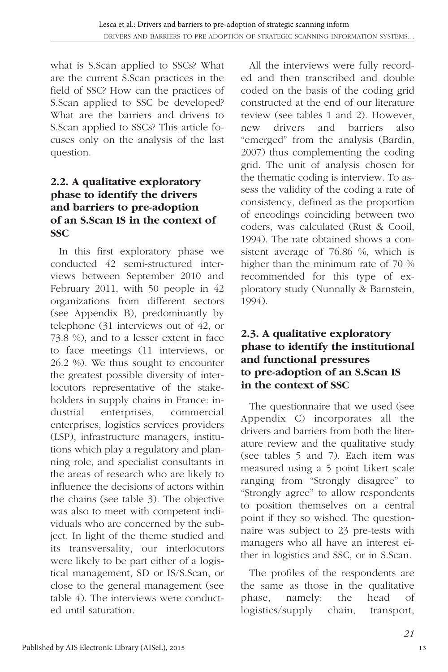what is S.Scan applied to SSCs? What are the current S.Scan practices in the field of SSC? How can the practices of S.Scan applied to SSC be developed? What are the barriers and drivers to S.Scan applied to SSCs? This article focuses only on the analysis of the last question.

#### **2.2. A qualitative exploratory phase to identify the drivers and barriers to pre-adoption of an S.Scan IS in the context of SSC**

In this first exploratory phase we conducted 42 semi-structured interviews between September 2010 and February 2011, with 50 people in 42 organizations from different sectors (see Appendix B), predominantly by telephone (31 interviews out of 42, or 73.8 %), and to a lesser extent in face to face meetings (11 interviews, or 26.2 %). We thus sought to encounter the greatest possible diversity of interlocutors representative of the stakeholders in supply chains in France: industrial enterprises, commercial enterprises, logistics services providers (LSP), infrastructure managers, institutions which play a regulatory and planning role, and specialist consultants in the areas of research who are likely to influence the decisions of actors within the chains (see table 3). The objective was also to meet with competent individuals who are concerned by the subject. In light of the theme studied and its transversality, our interlocutors were likely to be part either of a logistical management, SD or IS/S.Scan, or close to the general management (see table 4). The interviews were conducted until saturation.

All the interviews were fully recorded and then transcribed and double coded on the basis of the coding grid constructed at the end of our literature review (see tables 1 and 2). However, new drivers and barriers also "emerged" from the analysis (Bardin, 2007) thus complementing the coding grid. The unit of analysis chosen for the thematic coding is interview. To assess the validity of the coding a rate of consistency, defined as the proportion of encodings coinciding between two coders, was calculated (Rust & Cooil, 1994). The rate obtained shows a consistent average of 76.86 %, which is higher than the minimum rate of 70 % recommended for this type of exploratory study (Nunnally & Barnstein, 1994).

#### **2.3. A qualitative exploratory phase to identify the institutional and functional pressures to pre-adoption of an S.Scan IS in the context of SSC**

The questionnaire that we used (see Appendix C) incorporates all the drivers and barriers from both the literature review and the qualitative study (see tables 5 and 7). Each item was measured using a 5 point Likert scale ranging from "Strongly disagree" to "Strongly agree" to allow respondents to position themselves on a central point if they so wished. The questionnaire was subject to 23 pre-tests with managers who all have an interest either in logistics and SSC, or in S.Scan.

The profiles of the respondents are the same as those in the qualitative phase, namely: the head of logistics/supply chain, transport,

13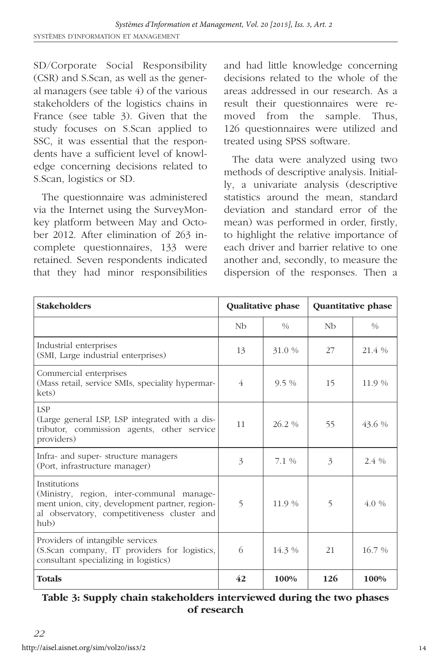SD/Corporate Social Responsibility (CSR) and S.Scan, as well as the general managers (see table 4) of the various stakeholders of the logistics chains in France (see table 3). Given that the study focuses on S.Scan applied to SSC, it was essential that the respondents have a sufficient level of knowledge concerning decisions related to S.Scan, logistics or SD.

The questionnaire was administered via the Internet using the SurveyMonkey platform between May and October 2012. After elimination of 263 incomplete questionnaires, 133 were retained. Seven respondents indicated that they had minor responsibilities and had little knowledge concerning decisions related to the whole of the areas addressed in our research. As a result their questionnaires were removed from the sample. Thus, 126 questionnaires were utilized and treated using SPSS software.

The data were analyzed using two methods of descriptive analysis. Initially, a univariate analysis (descriptive statistics around the mean, standard deviation and standard error of the mean) was performed in order, firstly, to highlight the relative importance of each driver and barrier relative to one another and, secondly, to measure the dispersion of the responses. Then a

| <b>Stakeholders</b>                                                                                                                                                |             | Qualitative phase |                          | <b>Quantitative phase</b> |
|--------------------------------------------------------------------------------------------------------------------------------------------------------------------|-------------|-------------------|--------------------------|---------------------------|
|                                                                                                                                                                    | Nb          | $\frac{0}{0}$     | Nb                       | $\frac{0}{0}$             |
| Industrial enterprises<br>(SMI, Large industrial enterprises)                                                                                                      | 13          | 31.0 %            | 27                       | 21.4 %                    |
| Commercial enterprises<br>(Mass retail, service SMIs, speciality hypermar-<br>kets)                                                                                | 4           | $9.5\%$           | 15                       | 11.9 %                    |
| <b>LSP</b><br>(Large general LSP, LSP integrated with a dis-<br>tributor, commission agents, other service<br>providers)                                           | 11          | $262\%$           | 55                       | 43.6 %                    |
| Infra- and super-structure managers<br>(Port, infrastructure manager)                                                                                              | 3           | 7.1%              | 3                        | $2.4\%$                   |
| Institutions<br>(Ministry, region, inter-communal manage-<br>ment union, city, development partner, region-<br>al observatory, competitiveness cluster and<br>hub) | $\varsigma$ | 11.9 %            | $\overline{\phantom{0}}$ | $4.0\%$                   |
| Providers of intangible services<br>(S.Scan company, IT providers for logistics,<br>consultant specializing in logistics)                                          | 6           | 14.3 %            | 21                       | $16.7\%$                  |
| <b>Totals</b>                                                                                                                                                      | 42          | 100%              | 126                      | 100%                      |

#### **Table 3: Supply chain stakeholders interviewed during the two phases of research**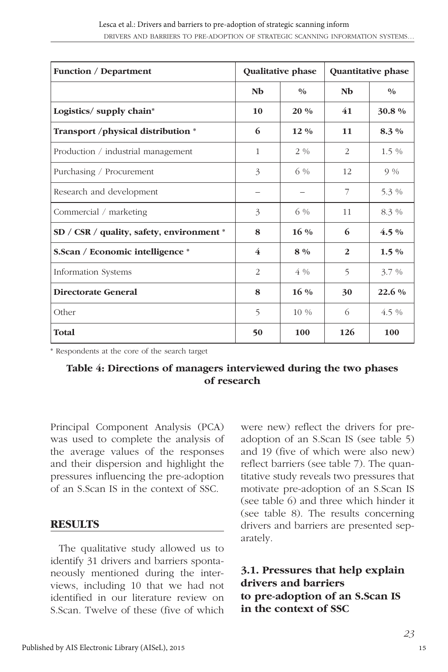| <b>Function / Department</b>              |              | Qualitative phase |                | Quantitative phase |
|-------------------------------------------|--------------|-------------------|----------------|--------------------|
|                                           | Nb           | $\frac{0}{0}$     | Nb             | 0/0                |
| Logistics/ supply chain*                  | 10           | $20\%$            | 41             | 30.8%              |
| Transport /physical distribution *        | 6            | $12\%$            | 11             | $8.3\%$            |
| Production / industrial management        | $\mathbf{1}$ | $2\%$             | 2              | $1.5\%$            |
| Purchasing / Procurement                  | 3            | 6 %               | 12             | $9\%$              |
| Research and development                  | -            |                   | 7              | 5.3 %              |
| Commercial / marketing                    | 3            | 6 %               | 11             | 8.3 %              |
| SD / CSR / quality, safety, environment * | 8            | $16\%$            | 6              | $4.5\%$            |
| S.Scan / Economic intelligence *          | 4            | $8\%$             | $\overline{2}$ | $1.5\%$            |
| Information Systems                       | 2            | $4\%$             | 5              | $3.7\%$            |
| <b>Directorate General</b>                | 8            | $16\%$            | 30             | $22.6\%$           |
| Other                                     | 5            | 10 %              | 6              | $4.5\%$            |
| <b>Total</b>                              | 50           | 100               | 126            | 100                |

\* Respondents at the core of the search target

#### **Table 4: Directions of managers interviewed during the two phases of research**

Principal Component Analysis (PCA) was used to complete the analysis of the average values of the responses and their dispersion and highlight the pressures influencing the pre-adoption of an S.Scan IS in the context of SSC.

#### **RESULTS**

The qualitative study allowed us to identify 31 drivers and barriers spontaneously mentioned during the interviews, including 10 that we had not identified in our literature review on S.Scan. Twelve of these (five of which

were new) reflect the drivers for preadoption of an S.Scan IS (see table 5) and 19 (five of which were also new) reflect barriers (see table 7). The quantitative study reveals two pressures that motivate pre-adoption of an S.Scan IS (see table 6) and three which hinder it (see table 8). The results concerning drivers and barriers are presented separately.

#### **3.1. Pressures that help explain drivers and barriers to pre-adoption of an S.Scan IS in the context of SSC**

15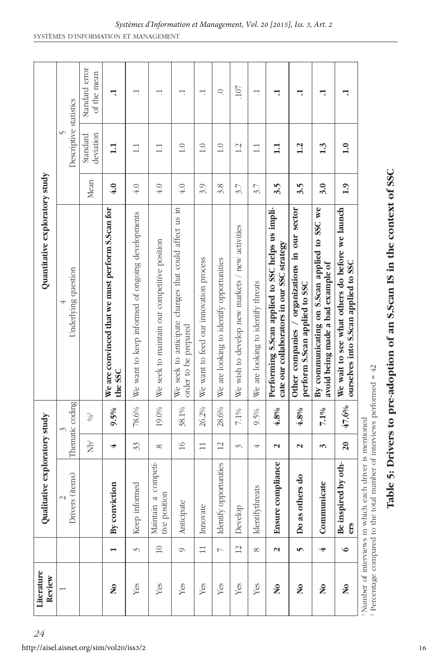| Literature<br>Review                       |                | Qualitative exploratory study                                                                               |                       |                 | Quantitative exploratory study                                                                 |                               |                               |
|--------------------------------------------|----------------|-------------------------------------------------------------------------------------------------------------|-----------------------|-----------------|------------------------------------------------------------------------------------------------|-------------------------------|-------------------------------|
|                                            |                | Drivers (items)<br>$\mathfrak{g}$                                                                           |                       | Thematic coding | Underlying question                                                                            | Descriptive statistics        |                               |
|                                            |                |                                                                                                             | $\overline{\Theta}^1$ | $\% ^2$         |                                                                                                | deviation<br>Standard<br>Mean | Standard error<br>of the mean |
| $\overline{\mathsf{a}}$                    | $\blacksquare$ | By conviction                                                                                               | પ                     | $9.5\%$         | We are convinced that we must perform S.Scan for<br>the SSC                                    | 1.1<br>4.0                    | Ļ                             |
| Yes                                        | 3              | Keep informed                                                                                               | 33                    | 78.6%           | We want to keep informed of ongoing developments                                               | $\Box$<br>4.0                 | Ē                             |
| Yes                                        | $\square$      | a competi-<br>tive position<br>Maintain                                                                     | $^{\circ}$            | 19.0%           | We seek to maintain our competitive position                                                   | $\Box$<br>4.0                 | H                             |
| Yes                                        | $\circ$        | Anticipate                                                                                                  | $\geq$                | 38.1%           | We seek to anticipate changes that could affect us in<br>order to be prepared                  | 1.0<br>4.0                    | H                             |
| Yes                                        | $\Box$         | Innovate                                                                                                    | $\Box$                | 26.2%           | We want to feed our innovation process                                                         | $\frac{0}{1}$<br>3.9          | H                             |
| Yes                                        | N              | opportunities<br>Identify                                                                                   | $\overline{2}$        | 28.6%           | We are looking to identify opportunities                                                       | 1.0<br>3.8                    | Q                             |
| Yes                                        | $\overline{c}$ | Develop                                                                                                     | 3                     | $7.1\%$         | We wish to develop new markets / new activities                                                | 1.2<br>3.7                    | 107                           |
| Yes                                        | $^{\circ}$     | Identifythreats                                                                                             | 4                     | 9.5%            | We are looking to identify threats                                                             | $\Box$<br>3.7                 | H                             |
| $\mathbf{S}^{\mathbf{O}}$                  | $\mathbf{z}$   | compliance<br>Ensure                                                                                        | $\mathbf{z}$          | 4.8%            | Performing S.Scan applied to SSC helps us impli-<br>cate our collaborators in our SSC strategy | 1.1<br>3.5                    | ⊣                             |
| $\mathsf{S}^{\mathsf{O}}$                  | 5              | Do as others do                                                                                             | $\mathbf{\mathbf{z}}$ | 4.8%            | Other companies / organizations in our sector<br>perform S.Scan applied to SSC                 | 1.2<br>3.5                    | ⊣.                            |
| $\mathbf{S}$                               | 4              | Communicate                                                                                                 | $\tilde{\phantom{0}}$ | 7.1%            | By communicating on S.Scan applied to SSC we<br>avoid being made a bad example of              | 1.3<br>3.0                    | ⊣                             |
| $\overline{\mathsf{a}}$                    | $\circ$        | Be inspired by oth-<br>ers                                                                                  | $\overline{20}$       | 47.6%           | We wait to see what others do before we launch<br>ourselves into S.Scan applied to SSC         | 1.0<br>1.9                    | ⊣.                            |
| <sup>1</sup> Number of interviews in which |                | $\alpha$ Percentage compared to the total number of interviews performed = $42$<br>each driver is mentioned |                       |                 |                                                                                                |                               |                               |

**Table 5: Drivers to pre-adoption of an S.Scan IS in the context of SSC**

Table 5: Drivers to pre-adoption of an S.Scan IS in the context of SSC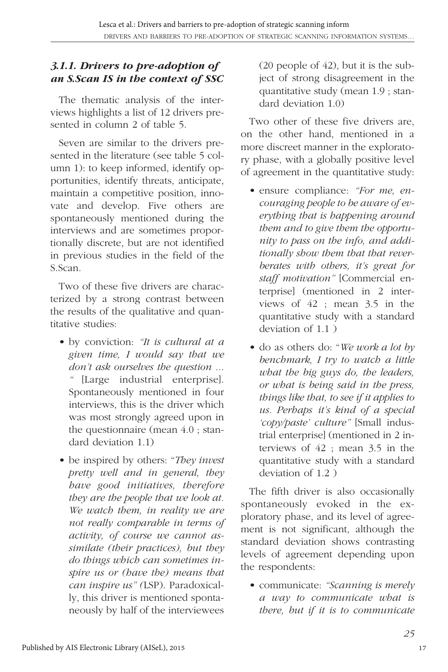#### *3.1.1. Drivers to pre-adoption of an S.Scan IS in the context of SSC*

The thematic analysis of the interviews highlights a list of 12 drivers presented in column 2 of table 5.

Seven are similar to the drivers presented in the literature (see table 5 column 1): to keep informed, identify opportunities, identify threats, anticipate, maintain a competitive position, innovate and develop. Five others are spontaneously mentioned during the interviews and are sometimes proportionally discrete, but are not identified in previous studies in the field of the S.Scan.

Two of these five drivers are characterized by a strong contrast between the results of the qualitative and quantitative studies:

- by conviction: *"It is cultural at a given time, I would say that we don't ask ourselves the question ... "* [Large industrial enterprise]. Spontaneously mentioned in four interviews, this is the driver which was most strongly agreed upon in the questionnaire (mean 4.0 ; standard deviation 1.1)
- be inspired by others: "*They invest pretty well and in general, they have good initiatives, therefore they are the people that we look at. We watch them, in reality we are not really comparable in terms of activity, of course we cannot assimilate (their practices), but they do things which can sometimes inspire us or (have the) means that can inspire us" (*LSP). Paradoxically, this driver is mentioned spontaneously by half of the interviewees

(20 people of 42), but it is the subject of strong disagreement in the quantitative study (mean 1.9 ; standard deviation 1.0)

Two other of these five drivers are, on the other hand, mentioned in a more discreet manner in the exploratory phase, with a globally positive level of agreement in the quantitative study:

- ensure compliance: *"For me, encouraging people to be aware of everything that is happening around them and to give them the opportunity to pass on the info, and additionally show them that that reverberates with others, it's great for staff motivation"* [Commercial enterprise] (mentioned in 2 interviews of 42 ; mean 3.5 in the quantitative study with a standard deviation of 1.1 )
- do as others do: "*We work a lot by benchmark, I try to watch a little what the big guys do, the leaders, or what is being said in the press, things like that, to see if it applies to us. Perhaps it's kind of a special 'copy/paste' culture"* [Small industrial enterprise] (mentioned in 2 interviews of 42 ; mean 3.5 in the quantitative study with a standard deviation of 1.2 )

The fifth driver is also occasionally spontaneously evoked in the exploratory phase, and its level of agreement is not significant, although the standard deviation shows contrasting levels of agreement depending upon the respondents:

• communicate: *"Scanning is merely a way to communicate what is there, but if it is to communicate*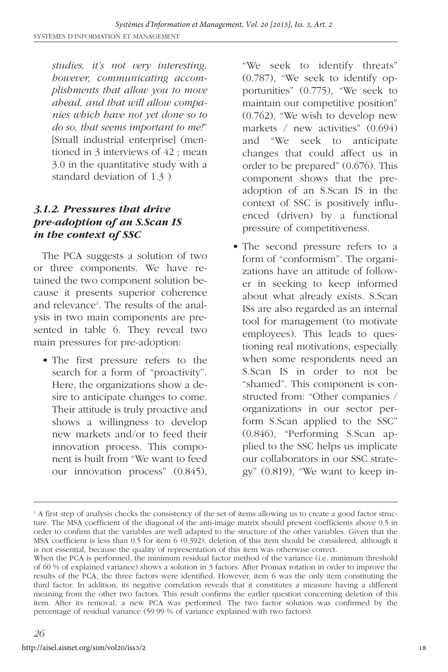*studies, it's not very interesting, however, communicating accomplishments that allow you to move ahead, and that will allow companies which have not yet done so to do so, that seems important to me!*" [Small industrial enterprise] (mentioned in 3 interviews of 42 ; mean 3.0 in the quantitative study with a standard deviation of 1.3 )

#### *3.1.2. Pressures that drive pre-adoption of an S.Scan IS in the context of SSC*

The PCA suggests a solution of two or three components. We have retained the two component solution because it presents superior coherence and relevance<sup>1</sup>. The results of the analysis in two main components are presented in table 6. They reveal two main pressures for pre-adoption:

• The first pressure refers to the search for a form of "proactivity". Here, the organizations show a desire to anticipate changes to come. Their attitude is truly proactive and shows a willingness to develop new markets and/or to feed their innovation process. This component is built from "We want to feed our innovation process" (0.845),

"We seek to identify threats" (0.787), "We seek to identify opportunities" (0.775), "We seek to maintain our competitive position" (0.762), "We wish to develop new markets / new activities" (0.694) and "We seek to anticipate changes that could affect us in order to be prepared" (0.676). This component shows that the preadoption of an S.Scan IS in the context of SSC is positively influenced (driven) by a functional pressure of competitiveness.

• The second pressure refers to a form of "conformism". The organizations have an attitude of follower in seeking to keep informed about what already exists. S.Scan ISs are also regarded as an internal tool for management (to motivate employees). This leads to questioning real motivations, especially when some respondents need an S.Scan IS in order to not be "shamed". This component is constructed from: "Other companies / organizations in our sector perform S.Scan applied to the SSC" (0.846), "Performing S.Scan applied to the SSC helps us implicate our collaborators in our SSC strategy" (0.819), "We want to keep in-

<sup>&</sup>lt;sup>1</sup> A first step of analysis checks the consistency of the set of items allowing us to create a good factor structure. The MSA coefficient of the diagonal of the anti-image matrix should present coefficients above 0.5 in order to confirm that the variables are well adapted to the structure of the other variables. Given that the MSA coefficient is less than 0.5 for item 6 (0.392), deletion of this item should be considered, although it is not essential, because the quality of representation of this item was otherwise correct.

When the PCA is performed, the minimum residual factor method of the variance (i.e. minimum threshold of 60 % of explained variance) shows a solution in 3 factors. After Promax rotation in order to improve the results of the PCA, the three factors were identified. However, item 6 was the only item constituting the third factor. In addition, its negative correlation reveals that it constitutes a measure having a different meaning from the other two factors. This result confirms the earlier question concerning deletion of this item. After its removal, a new PCA was performed. The two factor solution was confirmed by the percentage of residual variance (59.99 % of variance explained with two factors).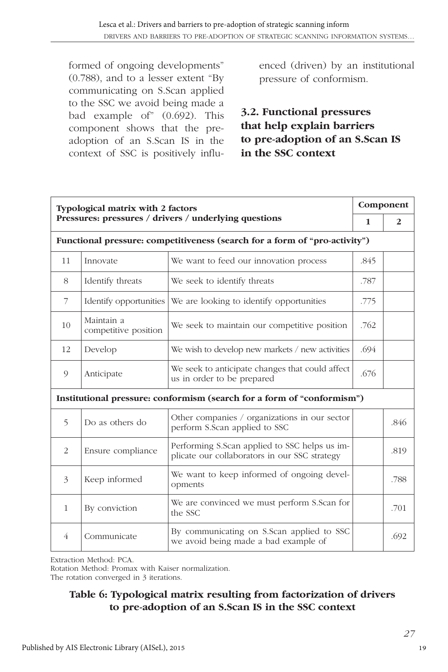formed of ongoing developments" (0.788), and to a lesser extent "By communicating on S.Scan applied to the SSC we avoid being made a bad example of" (0.692). This component shows that the preadoption of an S.Scan IS in the context of SSC is positively influenced (driven) by an institutional pressure of conformism.

### **3.2. Functional pressures that help explain barriers to pre-adoption of an S.Scan IS in the SSC context**

|              | <b>Typological matrix with 2 factors</b> |                                                                                                |      | Component |
|--------------|------------------------------------------|------------------------------------------------------------------------------------------------|------|-----------|
|              |                                          | Pressures: pressures / drivers / underlying questions                                          | 1    | 2         |
|              |                                          | Functional pressure: competitiveness (search for a form of "pro-activity")                     |      |           |
| 11           | Innovate                                 | We want to feed our innovation process                                                         | .845 |           |
| 8            | Identify threats                         | We seek to identify threats                                                                    | .787 |           |
| 7            | Identify opportunities                   | We are looking to identify opportunities                                                       | .775 |           |
| 10           | Maintain a<br>competitive position       | We seek to maintain our competitive position                                                   | .762 |           |
| 12           | Develop                                  | We wish to develop new markets / new activities                                                | .694 |           |
| 9            | Anticipate                               | We seek to anticipate changes that could affect<br>us in order to be prepared                  | .676 |           |
|              |                                          | Institutional pressure: conformism (search for a form of "conformism")                         |      |           |
| 5            | Do as others do                          | Other companies / organizations in our sector<br>perform S.Scan applied to SSC                 |      | .846      |
| 2            | Ensure compliance                        | Performing S.Scan applied to SSC helps us im-<br>plicate our collaborators in our SSC strategy |      | .819      |
| 3            | Keep informed                            | We want to keep informed of ongoing devel-<br>opments                                          |      | .788      |
| $\mathbf{1}$ | By conviction                            | We are convinced we must perform S.Scan for<br>the SSC                                         |      | .701      |
| 4            | Communicate                              | By communicating on S.Scan applied to SSC<br>we avoid being made a bad example of              |      | .692      |

Extraction Method: PCA.

Rotation Method: Promax with Kaiser normalization.

The rotation converged in 3 iterations.

#### **Table 6: Typological matrix resulting from factorization of drivers to pre-adoption of an S.Scan IS in the SSC context**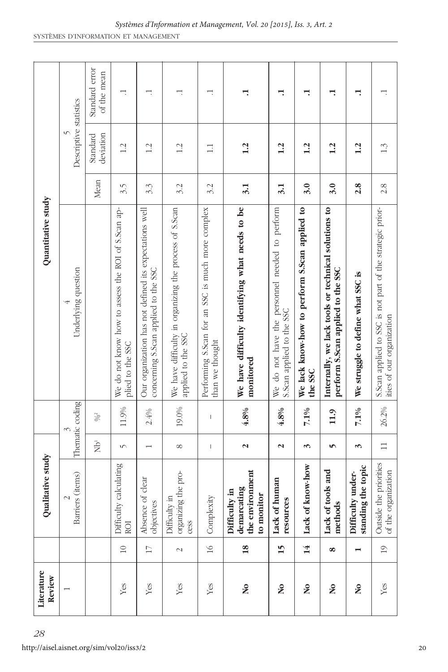| 28 | Literature<br>Review      |                          | Qualitative study                                             |                                                                                                                                                                                                                                                                                                                                                                                                                |                 | Quantitative study                                                                             |      |                        |                               |
|----|---------------------------|--------------------------|---------------------------------------------------------------|----------------------------------------------------------------------------------------------------------------------------------------------------------------------------------------------------------------------------------------------------------------------------------------------------------------------------------------------------------------------------------------------------------------|-----------------|------------------------------------------------------------------------------------------------|------|------------------------|-------------------------------|
|    |                           |                          | Barriers (items)<br>$\mathbf{C}$                              |                                                                                                                                                                                                                                                                                                                                                                                                                | Thematic coding | Underlying question                                                                            |      | Descriptive statistics |                               |
|    |                           |                          |                                                               | $\overline{B}$                                                                                                                                                                                                                                                                                                                                                                                                 | $\%$            |                                                                                                | Mean | deviation<br>Standard  | Standard error<br>of the mean |
|    | Yes                       | $\square$                | calculating<br>Difficulty<br>ROI                              | $\sqrt{ }$                                                                                                                                                                                                                                                                                                                                                                                                     | 11.9%           | We do not know how to assess the ROI of S.Scan ap-<br>plied to the SSC                         | 3.5  | 1.2                    | ⊣.                            |
|    | Yes                       | $\Box$                   | Absence of clear<br>objectives                                | $\overline{\phantom{0}}$                                                                                                                                                                                                                                                                                                                                                                                       | $2.4\%$         | Our organization has not defined its expectations well<br>concerning S.Scan applied to the SSC | 3.3  | 1.2                    | ⊣.                            |
|    | Yes                       | $\sim$                   | organizing the pro-<br>IJ.<br>Difficulty<br>cess              | $^{\circ}$                                                                                                                                                                                                                                                                                                                                                                                                     | 19.0%           | We have difficulty in organizing the process of S.Scan<br>applied to the SSC                   | 3.2  | 1.2                    | ⊣.                            |
|    | Yes                       | $\geq$                   | Complexity                                                    | $\begin{array}{c} \rule{0pt}{2ex} \rule{0pt}{2ex} \rule{0pt}{2ex} \rule{0pt}{2ex} \rule{0pt}{2ex} \rule{0pt}{2ex} \rule{0pt}{2ex} \rule{0pt}{2ex} \rule{0pt}{2ex} \rule{0pt}{2ex} \rule{0pt}{2ex} \rule{0pt}{2ex} \rule{0pt}{2ex} \rule{0pt}{2ex} \rule{0pt}{2ex} \rule{0pt}{2ex} \rule{0pt}{2ex} \rule{0pt}{2ex} \rule{0pt}{2ex} \rule{0pt}{2ex} \rule{0pt}{2ex} \rule{0pt}{2ex} \rule{0pt}{2ex} \rule{0pt}{$ | $\mathsf I$     | Performing S.Scan for an SSC is much more complex<br>than we thought                           | 3.2  | $\Box$                 |                               |
|    | $\mathbf{S}^{\bullet}$    | $\overline{18}$          | the environment<br>demarcating<br>Difficulty in<br>to monitor | $\boldsymbol{\mathsf{N}}$                                                                                                                                                                                                                                                                                                                                                                                      | 4.8%            | We have difficulty identifying what needs to be<br>monitored                                   | 3.1  | 1.2                    | ⊣.                            |
|    | $\overline{\mathsf{a}}$   | 15                       | Lack of human<br>resources                                    | $\boldsymbol{\sim}$                                                                                                                                                                                                                                                                                                                                                                                            | 4.8%            | We do not have the personnel needed to perform<br>S.Scan applied to the SSC                    | 3.1  | 1.2                    | ⊣.                            |
|    | $\overline{\mathsf{a}}$   | 14                       | Lack of know-how                                              | 3                                                                                                                                                                                                                                                                                                                                                                                                              | 7.1%            | We lack know-how to perform S.Scan applied to<br>the SSC                                       | 3.0  | 1.2                    | ⊣.                            |
|    | $\mathbf{S}^{\mathbf{O}}$ | 8                        | Lack of tools and<br>methods                                  | S                                                                                                                                                                                                                                                                                                                                                                                                              | 11.9            | Internally, we lack tools or technical solutions to<br>perform S.Scan applied to the SSC       | 3.0  | 1.2                    | ⊣.                            |
|    | $\mathbf{S}$              | $\overline{\phantom{0}}$ | the topic<br>Difficulty under-<br>standing                    | 3                                                                                                                                                                                                                                                                                                                                                                                                              | 7.1%            | We struggle to define what SSC is                                                              | 2.8  | 1.2                    | ⊣.                            |
|    | Yes                       | $\overline{1}$           | Outside the priorities<br>of the organization                 | $\Box$                                                                                                                                                                                                                                                                                                                                                                                                         | 26.2%           | S.Scan applied to SSC is not part of the strategic prior-<br>ities of our organization         | 2.8  | 1.3                    |                               |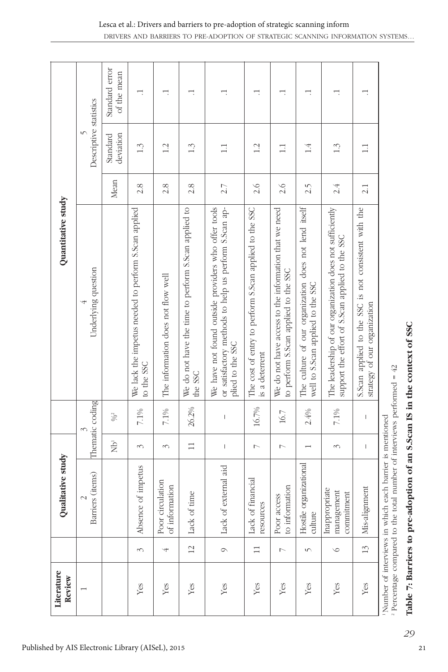| Literature<br>Review | Qualitative study                         |                                                                                                                                                                                                                                                                                                                                                                                                                |                                                                                                                                                                                                                                                                                                                                                                                                                | Quantitative study                                                                                                               |                               |                               |
|----------------------|-------------------------------------------|----------------------------------------------------------------------------------------------------------------------------------------------------------------------------------------------------------------------------------------------------------------------------------------------------------------------------------------------------------------------------------------------------------------|----------------------------------------------------------------------------------------------------------------------------------------------------------------------------------------------------------------------------------------------------------------------------------------------------------------------------------------------------------------------------------------------------------------|----------------------------------------------------------------------------------------------------------------------------------|-------------------------------|-------------------------------|
|                      | Barriers (items)<br>2                     |                                                                                                                                                                                                                                                                                                                                                                                                                | Thematic coding                                                                                                                                                                                                                                                                                                                                                                                                | Underlying question                                                                                                              |                               | Descriptive statistics        |
|                      |                                           | $\vec{\Xi}$                                                                                                                                                                                                                                                                                                                                                                                                    | $9/6^2$                                                                                                                                                                                                                                                                                                                                                                                                        |                                                                                                                                  | deviation<br>Standard<br>Mean | Standard error<br>of the mean |
| 3                    | Absence of impetus                        | 3                                                                                                                                                                                                                                                                                                                                                                                                              | $7.1\%$                                                                                                                                                                                                                                                                                                                                                                                                        | We lack the impetus needed to perform S.Scan applied<br>to the SSC                                                               | 1.3<br>2.8                    | Ē                             |
| 4                    | Poor circulation<br>of information        | 3                                                                                                                                                                                                                                                                                                                                                                                                              | $7.1\%$                                                                                                                                                                                                                                                                                                                                                                                                        | The information does not flow well                                                                                               | 1.2<br>2.8                    | г.                            |
| $\overline{2}$       | time<br>Lack of                           | $\Box$                                                                                                                                                                                                                                                                                                                                                                                                         | 26.2%                                                                                                                                                                                                                                                                                                                                                                                                          | We do not have the time to perform S.Scan applied to<br>the SSC                                                                  | 1.3<br>2.8                    | H                             |
| $\circ$              | Lack of external aid                      | $\mathsf I$                                                                                                                                                                                                                                                                                                                                                                                                    | $\mathsf I$                                                                                                                                                                                                                                                                                                                                                                                                    | We have not found outside providers who offer tools<br>or satisfactory methods to help us perform S.Scan ap-<br>plied to the SSC | $\Box$<br>2.7                 | H                             |
| $\Box$               | financial<br>resources<br>Lack of         | $\triangleright$                                                                                                                                                                                                                                                                                                                                                                                               | $16.7\%$                                                                                                                                                                                                                                                                                                                                                                                                       | The cost of entry to perform S.Scan applied to the SSC<br>is a deterrent                                                         | 1.2<br>2.6                    | г.                            |
| $\triangleright$     | to information<br>Poor access             | $\triangleright$                                                                                                                                                                                                                                                                                                                                                                                               | 16.7                                                                                                                                                                                                                                                                                                                                                                                                           | We do not have access to the information that we need<br>to perform S.Scan applied to the SSC                                    | $\Box$<br>2.6                 | ⊣.                            |
| $\sqrt{ }$           | Hostile organizational<br>culture         |                                                                                                                                                                                                                                                                                                                                                                                                                | 2.4%                                                                                                                                                                                                                                                                                                                                                                                                           | The culture of our organization does not lend itself<br>well to S.Scan applied to the SSC                                        | 1.4<br>2.5                    | Ē                             |
| $\circ$              | Inappropriate<br>management<br>commitment | 3                                                                                                                                                                                                                                                                                                                                                                                                              | $7.1\%$                                                                                                                                                                                                                                                                                                                                                                                                        | The leadership of our organization does not sufficiently<br>support the effort of S.Scan applied to the SSC                      | $1.\overline{3}$<br>2.4       | Ē                             |
| $\frac{3}{2}$        | Mis-alignment                             | $\begin{array}{c} \rule{0pt}{2ex} \rule{0pt}{2ex} \rule{0pt}{2ex} \rule{0pt}{2ex} \rule{0pt}{2ex} \rule{0pt}{2ex} \rule{0pt}{2ex} \rule{0pt}{2ex} \rule{0pt}{2ex} \rule{0pt}{2ex} \rule{0pt}{2ex} \rule{0pt}{2ex} \rule{0pt}{2ex} \rule{0pt}{2ex} \rule{0pt}{2ex} \rule{0pt}{2ex} \rule{0pt}{2ex} \rule{0pt}{2ex} \rule{0pt}{2ex} \rule{0pt}{2ex} \rule{0pt}{2ex} \rule{0pt}{2ex} \rule{0pt}{2ex} \rule{0pt}{$ | $\begin{array}{c} \rule{0pt}{2ex} \rule{0pt}{2ex} \rule{0pt}{2ex} \rule{0pt}{2ex} \rule{0pt}{2ex} \rule{0pt}{2ex} \rule{0pt}{2ex} \rule{0pt}{2ex} \rule{0pt}{2ex} \rule{0pt}{2ex} \rule{0pt}{2ex} \rule{0pt}{2ex} \rule{0pt}{2ex} \rule{0pt}{2ex} \rule{0pt}{2ex} \rule{0pt}{2ex} \rule{0pt}{2ex} \rule{0pt}{2ex} \rule{0pt}{2ex} \rule{0pt}{2ex} \rule{0pt}{2ex} \rule{0pt}{2ex} \rule{0pt}{2ex} \rule{0pt}{$ | S.Scan applied to the SSC is not consistent with the<br>strategy of our organization                                             | $\Box$<br>2.1                 | ⊣.                            |

Published by AIS Electronic Library (AISeL), 2015

Table 7: Barriers to pre-adoption of an S.Scan IS in the context of SSC **Table 7: Barriers to pre-adoption of an S.Scan IS in the context of SSC**

Number of interviews in which each barrier is mentioned<br>Percentage compared to the total number of interviews performed =  $42$ Percentage compared to the total number of interviews performed  $= 42$ 

*29*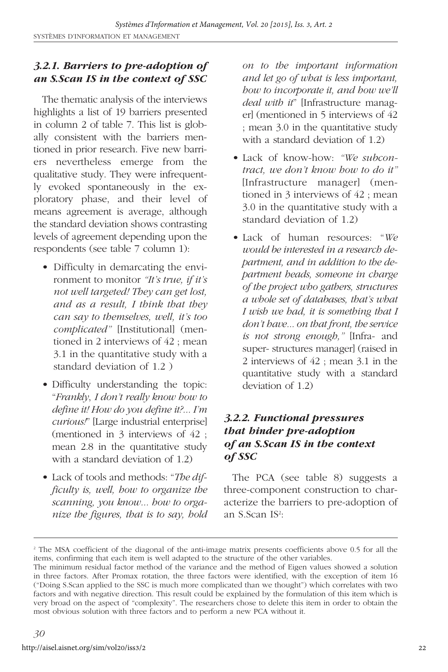#### *3.2.1. Barriers to pre-adoption of an S.Scan IS in the context of SSC*

The thematic analysis of the interviews highlights a list of 19 barriers presented in column 2 of table 7. This list is globally consistent with the barriers mentioned in prior research. Five new barriers nevertheless emerge from the qualitative study. They were infrequently evoked spontaneously in the exploratory phase, and their level of means agreement is average, although the standard deviation shows contrasting levels of agreement depending upon the respondents (see table 7 column 1):

- Difficulty in demarcating the environment to monitor *"It's true, if it's not well targeted! They can get lost, and as a result, I think that they can say to themselves, well, it's too complicated"* [Institutional] (mentioned in 2 interviews of 42 ; mean 3.1 in the quantitative study with a standard deviation of 1.2 )
- Difficulty understanding the topic: "*Frankly*, *I don't really know how to define it! How do you define it?... I'm curious!*" [Large industrial enterprise] (mentioned in 3 interviews of 42 ; mean 2.8 in the quantitative study with a standard deviation of 1.2)
- Lack of tools and methods: "*The difficulty is, well, how to organize the scanning, you know... how to organize the figures, that is to say, hold*

*on to the important information and let go of what is less important, how to incorporate it, and how we'll deal with it*" [Infrastructure manager] (mentioned in 5 interviews of 42 ; mean 3.0 in the quantitative study with a standard deviation of 1.2)

- Lack of know-how: *"We subcontract, we don't know how to do it"* [Infrastructure manager] (mentioned in 3 interviews of 42 ; mean 3.0 in the quantitative study with a standard deviation of 1.2)
- Lack of human resources: "*We would be interested in a research department, and in addition to the department heads, someone in charge of the project who gathers, structures a whole set of databases, that's what I wish we had, it is something that I don't have... on that front, the service is not strong enough,"* [Infra- and super- structures manager] (raised in 2 interviews of 42 ; mean 3.1 in the quantitative study with a standard deviation of 1.2)

#### *3.2.2. Functional pressures that hinder pre-adoption of an S.Scan IS in the context of SSC*

The PCA (see table 8) suggests a three-component construction to characterize the barriers to pre-adoption of an S.Scan IS<sup>2</sup>:

<sup>&</sup>lt;sup>2</sup> The MSA coefficient of the diagonal of the anti-image matrix presents coefficients above 0.5 for all the items, confirming that each item is well adapted to the structure of the other variables.

The minimum residual factor method of the variance and the method of Eigen values showed a solution in three factors. After Promax rotation, the three factors were identified, with the exception of item 16 ("Doing S.Scan applied to the SSC is much more complicated than we thought") which correlates with two factors and with negative direction. This result could be explained by the formulation of this item which is very broad on the aspect of "complexity". The researchers chose to delete this item in order to obtain the most obvious solution with three factors and to perform a new PCA without it.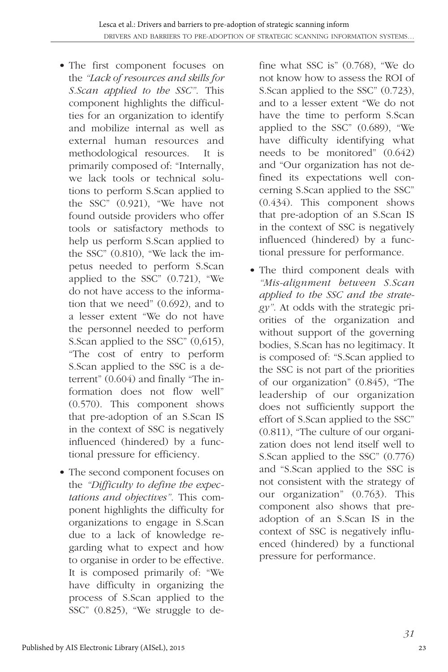- The first component focuses on the *"Lack of resources and skills for S.Scan applied to the SSC"*. This component highlights the difficulties for an organization to identify and mobilize internal as well as external human resources and methodological resources. It is primarily composed of: "Internally, we lack tools or technical solutions to perform S.Scan applied to the SSC" (0.921), "We have not found outside providers who offer tools or satisfactory methods to help us perform S.Scan applied to the SSC" (0.810), "We lack the impetus needed to perform S.Scan applied to the SSC" (0.721), "We do not have access to the information that we need" (0.692), and to a lesser extent "We do not have the personnel needed to perform S.Scan applied to the SSC" (0,615), "The cost of entry to perform S.Scan applied to the SSC is a deterrent" (0.604) and finally "The information does not flow well" (0.570). This component shows that pre-adoption of an S.Scan IS in the context of SSC is negatively influenced (hindered) by a functional pressure for efficiency.
- The second component focuses on the *"Difficulty to define the expectations and objectives"*. This component highlights the difficulty for organizations to engage in S.Scan due to a lack of knowledge regarding what to expect and how to organise in order to be effective. It is composed primarily of: "We have difficulty in organizing the process of S.Scan applied to the SSC" (0.825), "We struggle to de-

fine what SSC is" (0.768), "We do not know how to assess the ROI of S.Scan applied to the SSC" (0.723), and to a lesser extent "We do not have the time to perform S.Scan applied to the SSC" (0.689), "We have difficulty identifying what needs to be monitored" (0.642) and "Our organization has not defined its expectations well concerning S.Scan applied to the SSC" (0.434). This component shows that pre-adoption of an S.Scan IS in the context of SSC is negatively influenced (hindered) by a functional pressure for performance.

• The third component deals with *"Mis-alignment between S.Scan applied to the SSC and the strategy"*. At odds with the strategic priorities of the organization and without support of the governing bodies, S.Scan has no legitimacy. It is composed of: "S.Scan applied to the SSC is not part of the priorities of our organization" (0.845), "The leadership of our organization does not sufficiently support the effort of S.Scan applied to the SSC" (0.811), "The culture of our organization does not lend itself well to S.Scan applied to the SSC" (0.776) and "S.Scan applied to the SSC is not consistent with the strategy of our organization" (0.763). This component also shows that preadoption of an S.Scan IS in the context of SSC is negatively influenced (hindered) by a functional pressure for performance.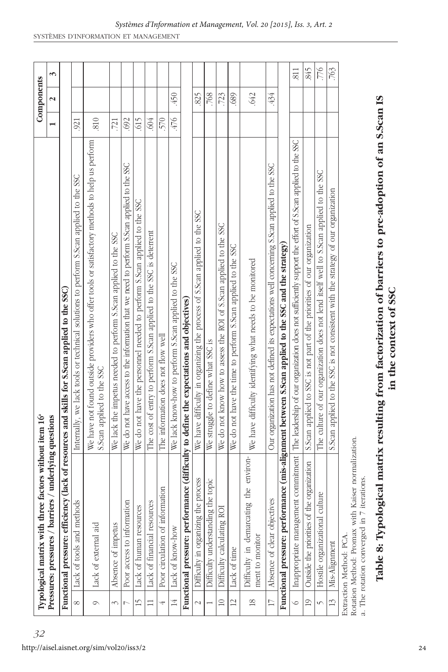|                 | factors without item 16 <sup>ª</sup><br>Typological matrix with three |                                                                                                                                                |                | Components           |      |
|-----------------|-----------------------------------------------------------------------|------------------------------------------------------------------------------------------------------------------------------------------------|----------------|----------------------|------|
|                 | Pressures: pressures / barriers / underlying questions                |                                                                                                                                                | $\overline{ }$ | $\mathbf{\tilde{c}}$ | 3    |
|                 |                                                                       | Functional pressure: efficiency (lack of resources and skills for S.Scan applied to the SSC)                                                   |                |                      |      |
| $^{\circ}$      | Lack of tools and method                                              | Internally, we lack tools or technical solutions to perform S.Scan applied to the SSC                                                          | 921            |                      |      |
| $\circ$         | Lack of external aid                                                  | We have not found outside providers who offer tools or satisfactory methods to help us perform<br>S.Scan applied to the SSC                    | .810           |                      |      |
| 3               | Absence of impetus                                                    | We lack the impetus needed to perform S.Scan applied to the SSC                                                                                | .721           |                      |      |
|                 | Poor access to information                                            | We do not have access to the information that we need to perform S.Scan applied to the SSC                                                     | 692            |                      |      |
| $\overline{1}$  | Lack of human resources                                               | We do not have the personnel needed to perform S.Scan applied to the SSC                                                                       | 615            |                      |      |
|                 | Lack of financial resources                                           | The cost of entry to perform S.Scan applied to the SSC is deterrent                                                                            | 604            |                      |      |
|                 | Poor circulation of information                                       | The information does not flow well                                                                                                             | 570            |                      |      |
| 14              | Lack of know-how                                                      | We lack know-how to perform S.Scan applied to the SSC                                                                                          | 945.           | .450                 |      |
|                 |                                                                       | Functional pressure: performance (difficulty to define the expectations and objectives)                                                        |                |                      |      |
| $\sim$          | process<br>Difficulty in organizing the                               | We have difficulty in organizing the process of S.Scan applied to the SSC                                                                      |                | 825                  |      |
|                 | Difficulty understanding the topic                                    | We struggle to define what SSC is                                                                                                              |                | 768                  |      |
| $\supseteq$     | Difficulty calculating ROI                                            | We do not know how to assess the ROI of S.Scan applied to the SSC                                                                              |                | .723                 |      |
| $\overline{c}$  | Lack of time                                                          | We do not have the time to perform S.Scan applied to the SSC                                                                                   |                | 689                  |      |
| $\frac{8}{2}$   | the environ-<br>Difficulty in demarcating<br>ment to monitor          | We have difficulty identifying what needs to be monitored                                                                                      |                | 642                  |      |
| $\Box$          | Absence of clear objectives                                           | Our organization has not defined its expectations well concerning S.Scan applied to the SSC                                                    |                | 434                  |      |
|                 |                                                                       | Functional pressure: performance (mis-alignment between 8.Scan applied to the SSC and the strategy)                                            |                |                      |      |
| $\circ$         |                                                                       | Inappropriate management commitment   The leadership of our organization does not sufficiently support the effort of S.Scan applied to the SSC |                |                      | 811  |
| $\overline{19}$ | organization<br>Outside the priorities of the                         | S.Scan applied to SSC is not part of the priorities of our organization                                                                        |                |                      | 845  |
| $\sqrt{ }$      | Hostile organizational culture                                        | The culture of our organization does not lend itself well to S.Scan applied to the SSC                                                         |                |                      | 776  |
| $\frac{3}{2}$   | Mis-Alignment                                                         | S.Scan applied to the SSC is not consistent with the strategy of our organization                                                              |                |                      | .763 |
|                 | Extraction Method: PCA                                                |                                                                                                                                                |                |                      |      |

J. I VA.

Rotation Method: Promax with Kaiser normalization. Rotation Method: Promax with Kaiser normalization.

a. The rotation converged in 7 iterations. a. The rotation converged in 7 iterations.

# Table 8: Typological matrix resulting from factorization of barriers to pre-adoption of an S.Scan IS **Table 8: Typological matrix resulting from factorization of barriers to pre-adoption of an S.Scan IS** in the context of SSC **in the context of SSC**

*32*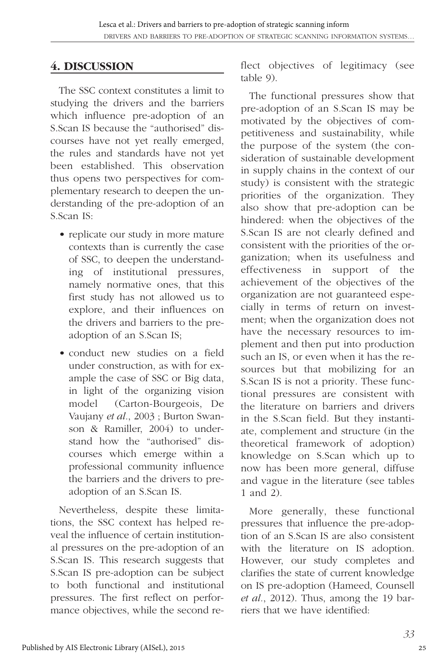## **4. DISCUSSION**

The SSC context constitutes a limit to studying the drivers and the barriers which influence pre-adoption of an S.Scan IS because the "authorised" discourses have not yet really emerged, the rules and standards have not yet been established. This observation thus opens two perspectives for complementary research to deepen the understanding of the pre-adoption of an S.Scan IS:

- replicate our study in more mature contexts than is currently the case of SSC, to deepen the understanding of institutional pressures, namely normative ones, that this first study has not allowed us to explore, and their influences on the drivers and barriers to the preadoption of an S.Scan IS;
- conduct new studies on a field under construction, as with for example the case of SSC or Big data, in light of the organizing vision model (Carton-Bourgeois, De Vaujany *et al.*, 2003 ; Burton Swanson & Ramiller, 2004) to understand how the "authorised" discourses which emerge within a professional community influence the barriers and the drivers to preadoption of an S.Scan IS.

Nevertheless, despite these limitations, the SSC context has helped reveal the influence of certain institutional pressures on the pre-adoption of an S.Scan IS. This research suggests that S.Scan IS pre-adoption can be subject to both functional and institutional pressures. The first reflect on performance objectives, while the second reflect objectives of legitimacy (see table 9).

The functional pressures show that pre-adoption of an S.Scan IS may be motivated by the objectives of competitiveness and sustainability, while the purpose of the system (the consideration of sustainable development in supply chains in the context of our study) is consistent with the strategic priorities of the organization. They also show that pre-adoption can be hindered: when the objectives of the S.Scan IS are not clearly defined and consistent with the priorities of the organization; when its usefulness and effectiveness in support of the achievement of the objectives of the organization are not guaranteed especially in terms of return on investment; when the organization does not have the necessary resources to implement and then put into production such an IS, or even when it has the resources but that mobilizing for an S.Scan IS is not a priority. These functional pressures are consistent with the literature on barriers and drivers in the S.Scan field. But they instantiate, complement and structure (in the theoretical framework of adoption) knowledge on S.Scan which up to now has been more general, diffuse and vague in the literature (see tables 1 and 2).

More generally, these functional pressures that influence the pre-adoption of an S.Scan IS are also consistent with the literature on IS adoption. However, our study completes and clarifies the state of current knowledge on IS pre-adoption (Hameed, Counsell *et al.*, 2012). Thus, among the 19 barriers that we have identified: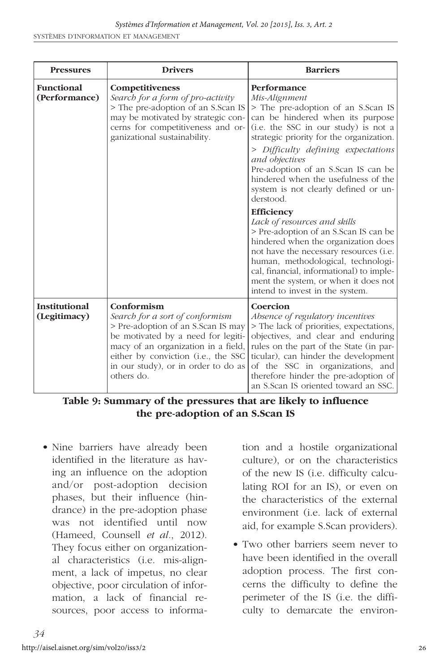| <b>Pressures</b>                     | <b>Drivers</b>                                                                                                                                                                                                                                               | <b>Barriers</b>                                                                                                                                                                                                                                                                                                                                                                                                                                                                                                                                                                                                                                                                                                                   |
|--------------------------------------|--------------------------------------------------------------------------------------------------------------------------------------------------------------------------------------------------------------------------------------------------------------|-----------------------------------------------------------------------------------------------------------------------------------------------------------------------------------------------------------------------------------------------------------------------------------------------------------------------------------------------------------------------------------------------------------------------------------------------------------------------------------------------------------------------------------------------------------------------------------------------------------------------------------------------------------------------------------------------------------------------------------|
| <b>Functional</b><br>(Performance)   | Competitiveness<br>Search for a form of pro-activity<br>> The pre-adoption of an S.Scan IS<br>may be motivated by strategic con-<br>cerns for competitiveness and or-<br>ganizational sustainability.                                                        | Performance<br>Mis-Alignment<br>> The pre-adoption of an S.Scan IS<br>can be hindered when its purpose<br>(i.e. the SSC in our study) is not a<br>strategic priority for the organization.<br>> Difficulty defining expectations<br>and objectives<br>Pre-adoption of an S.Scan IS can be<br>hindered when the usefulness of the<br>system is not clearly defined or un-<br>derstood.<br><b>Efficiency</b><br>Lack of resources and skills<br>> Pre-adoption of an S.Scan IS can be<br>hindered when the organization does<br>not have the necessary resources (i.e.<br>human, methodological, technologi-<br>cal, financial, informational) to imple-<br>ment the system, or when it does not<br>intend to invest in the system. |
| <b>Institutional</b><br>(Legitimacy) | Conformism<br>Search for a sort of conformism<br>> Pre-adoption of an S.Scan IS may<br>be motivated by a need for legiti-<br>macy of an organization in a field,<br>either by conviction (i.e., the SSC<br>in our study), or in order to do as<br>others do. | Coercion<br>Absence of regulatory incentives<br>> The lack of priorities, expectations,<br>objectives, and clear and enduring<br>rules on the part of the State (in par-<br>ticular), can hinder the development<br>of the SSC in organizations, and<br>therefore hinder the pre-adoption of<br>an S.Scan IS oriented toward an SSC.                                                                                                                                                                                                                                                                                                                                                                                              |

**Table 9: Summary of the pressures that are likely to influence the pre-adoption of an S.Scan IS** 

• Nine barriers have already been identified in the literature as having an influence on the adoption and/or post-adoption decision phases, but their influence (hindrance) in the pre-adoption phase was not identified until now (Hameed, Counsell *et al.*, 2012). They focus either on organizational characteristics (i.e. mis-alignment, a lack of impetus, no clear objective, poor circulation of information, a lack of financial resources, poor access to information and a hostile organizational culture), or on the characteristics of the new IS (i.e. difficulty calculating ROI for an IS), or even on the characteristics of the external environment (i.e. lack of external aid, for example S.Scan providers).

• Two other barriers seem never to have been identified in the overall adoption process. The first concerns the difficulty to define the perimeter of the IS (i.e. the difficulty to demarcate the environ-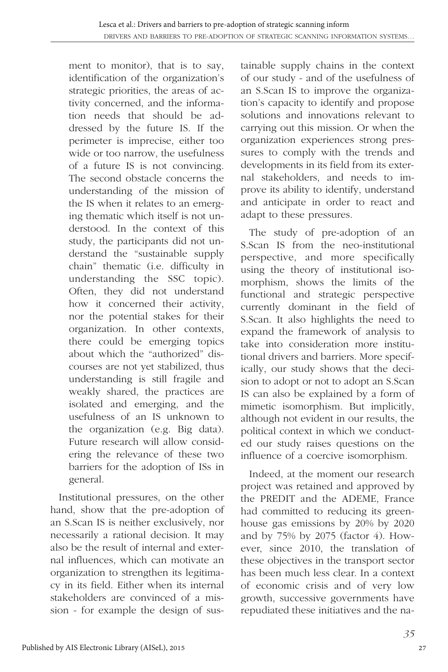ment to monitor), that is to say, identification of the organization's strategic priorities, the areas of activity concerned, and the information needs that should be addressed by the future IS. If the perimeter is imprecise, either too wide or too narrow, the usefulness of a future IS is not convincing. The second obstacle concerns the understanding of the mission of the IS when it relates to an emerging thematic which itself is not understood. In the context of this study, the participants did not understand the "sustainable supply chain" thematic (i.e. difficulty in understanding the SSC topic). Often, they did not understand how it concerned their activity, nor the potential stakes for their organization. In other contexts, there could be emerging topics about which the "authorized" discourses are not yet stabilized, thus understanding is still fragile and weakly shared, the practices are isolated and emerging, and the usefulness of an IS unknown to the organization (e.g. Big data). Future research will allow considering the relevance of these two barriers for the adoption of ISs in general.

Institutional pressures, on the other hand, show that the pre-adoption of an S.Scan IS is neither exclusively, nor necessarily a rational decision. It may also be the result of internal and external influences, which can motivate an organization to strengthen its legitimacy in its field. Either when its internal stakeholders are convinced of a mission - for example the design of sus-

tainable supply chains in the context of our study - and of the usefulness of an S.Scan IS to improve the organization's capacity to identify and propose solutions and innovations relevant to carrying out this mission. Or when the organization experiences strong pressures to comply with the trends and developments in its field from its external stakeholders, and needs to improve its ability to identify, understand and anticipate in order to react and adapt to these pressures.

The study of pre-adoption of an S.Scan IS from the neo-institutional perspective, and more specifically using the theory of institutional isomorphism, shows the limits of the functional and strategic perspective currently dominant in the field of S.Scan. It also highlights the need to expand the framework of analysis to take into consideration more institutional drivers and barriers. More specifically, our study shows that the decision to adopt or not to adopt an S.Scan IS can also be explained by a form of mimetic isomorphism. But implicitly, although not evident in our results, the political context in which we conducted our study raises questions on the influence of a coercive isomorphism.

Indeed, at the moment our research project was retained and approved by the PREDIT and the ADEME, France had committed to reducing its greenhouse gas emissions by 20% by 2020 and by 75% by 2075 (factor 4). However, since 2010, the translation of these objectives in the transport sector has been much less clear. In a context of economic crisis and of very low growth, successive governments have repudiated these initiatives and the na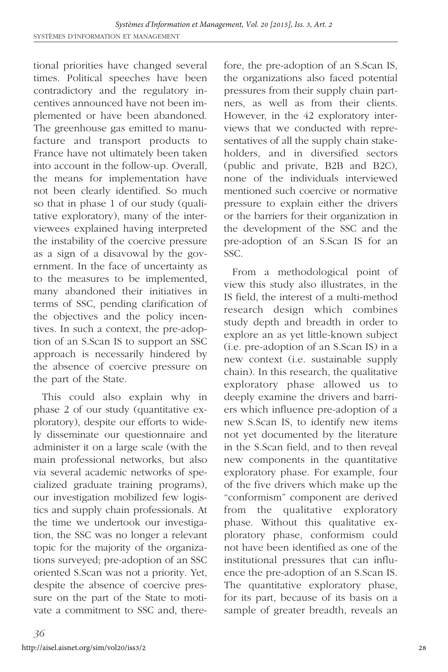tional priorities have changed several times. Political speeches have been contradictory and the regulatory incentives announced have not been implemented or have been abandoned. The greenhouse gas emitted to manufacture and transport products to France have not ultimately been taken into account in the follow-up. Overall, the means for implementation have not been clearly identified. So much so that in phase 1 of our study (qualitative exploratory), many of the interviewees explained having interpreted the instability of the coercive pressure as a sign of a disavowal by the government. In the face of uncertainty as to the measures to be implemented, many abandoned their initiatives in terms of SSC, pending clarification of the objectives and the policy incentives. In such a context, the pre-adoption of an S.Scan IS to support an SSC approach is necessarily hindered by the absence of coercive pressure on the part of the State.

This could also explain why in phase 2 of our study (quantitative exploratory), despite our efforts to widely disseminate our questionnaire and administer it on a large scale (with the main professional networks, but also via several academic networks of specialized graduate training programs), our investigation mobilized few logistics and supply chain professionals. At the time we undertook our investigation, the SSC was no longer a relevant topic for the majority of the organizations surveyed; pre-adoption of an SSC oriented S.Scan was not a priority. Yet, despite the absence of coercive pressure on the part of the State to motivate a commitment to SSC and, therefore, the pre-adoption of an S.Scan IS, the organizations also faced potential pressures from their supply chain partners, as well as from their clients. However, in the 42 exploratory interviews that we conducted with representatives of all the supply chain stakeholders, and in diversified sectors (public and private, B2B and B2C), none of the individuals interviewed mentioned such coercive or normative pressure to explain either the drivers or the barriers for their organization in the development of the SSC and the pre-adoption of an S.Scan IS for an SSC.

From a methodological point of view this study also illustrates, in the IS field, the interest of a multi-method research design which combines study depth and breadth in order to explore an as yet little-known subject (i.e. pre-adoption of an S.Scan IS) in a new context (i.e. sustainable supply chain). In this research, the qualitative exploratory phase allowed us to deeply examine the drivers and barriers which influence pre-adoption of a new S.Scan IS, to identify new items not yet documented by the literature in the S.Scan field, and to then reveal new components in the quantitative exploratory phase. For example, four of the five drivers which make up the "conformism" component are derived from the qualitative exploratory phase. Without this qualitative exploratory phase, conformism could not have been identified as one of the institutional pressures that can influence the pre-adoption of an S.Scan IS. The quantitative exploratory phase, for its part, because of its basis on a sample of greater breadth, reveals an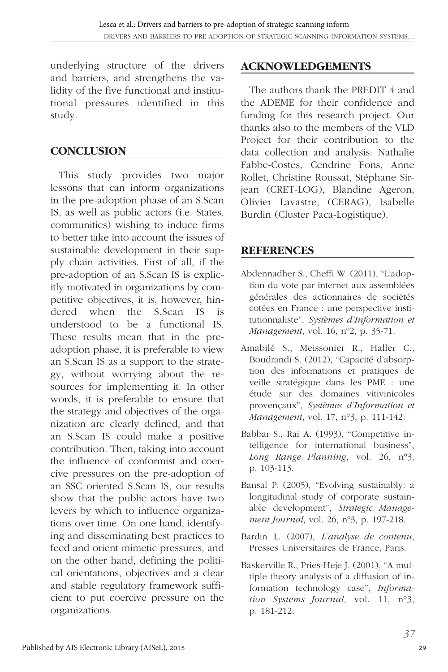underlying structure of the drivers and barriers, and strengthens the validity of the five functional and institutional pressures identified in this study.

### **CONCLUSION**

This study provides two major lessons that can inform organizations in the pre-adoption phase of an S.Scan IS, as well as public actors (i.e. States, communities) wishing to induce firms to better take into account the issues of sustainable development in their supply chain activities. First of all, if the pre-adoption of an S.Scan IS is explicitly motivated in organizations by competitive objectives, it is, however, hindered when the S.Scan IS is understood to be a functional IS. These results mean that in the preadoption phase, it is preferable to view an S.Scan IS as a support to the strategy, without worrying about the resources for implementing it. In other words, it is preferable to ensure that the strategy and objectives of the organization are clearly defined, and that an S.Scan IS could make a positive contribution. Then, taking into account the influence of conformist and coercive pressures on the pre-adoption of an SSC oriented S.Scan IS, our results show that the public actors have two levers by which to influence organizations over time. On one hand, identifying and disseminating best practices to feed and orient mimetic pressures, and on the other hand, defining the political orientations, objectives and a clear and stable regulatory framework sufficient to put coercive pressure on the organizations.

#### **ACKNOWLEDGEMENTS**

The authors thank the PREDIT 4 and the ADEME for their confidence and funding for this research project. Our thanks also to the members of the VLD Project for their contribution to the data collection and analysis: Nathalie Fabbe-Costes, Cendrine Fons, Anne Rollet, Christine Roussat, Stéphane Sirjean (CRET-LOG), Blandine Ageron, Olivier Lavastre, (CERAG), Isabelle Burdin (Cluster Paca-Logistique).

#### **REFERENCES**

- Abdennadher S., Cheffi W. (2011), "L'adoption du vote par internet aux assemblées générales des actionnaires de sociétés cotées en France : une perspective institutionnaliste", *Systèmes d'Information et Management*, vol. 16, nº2, p. 35-71.
- Amabilé S., Meissonier R., Haller C., Boudrandi S. (2012), "Capacité d'absorption des informations et pratiques de veille stratégique dans les PME : une étude sur des domaines vitivinicoles provençaux", *Systèmes d'Information et Management*, vol. 17, n°3, p. 111-142.
- Babbar S., Rai A. (1993), "Competitive intelligence for international business", *Long Range Planning*, vol. 26, nº3, p. 103-113.
- Bansal P. (2005), "Evolving sustainably: a longitudinal study of corporate sustainable development", *Strategic Management Journal*, vol. 26, nº3, p. 197-218.
- Bardin L. (2007), *L'analyse de contenu*, Presses Universitaires de France, Paris.
- Baskerville R., Pries-Heje J. (2001), "A multiple theory analysis of a diffusion of information technology case", *Information Systems Journal*, vol. 11, nº3, p. 181-212.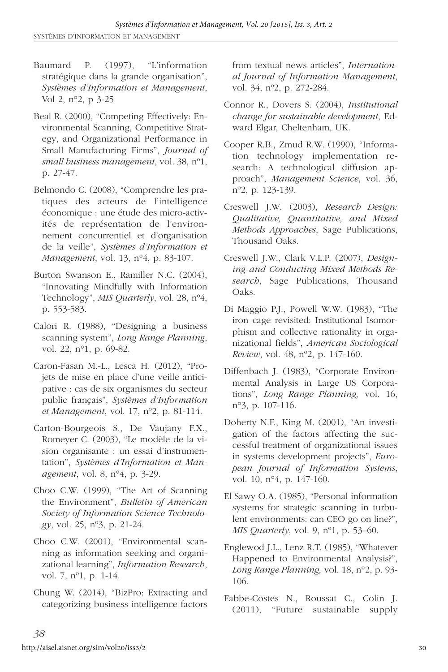- Baumard P. (1997), "L'information stratégique dans la grande organisation", *Systèmes d'Information et Management*, Vol 2, n°2, p 3-25
- Beal R. (2000), "Competing Effectively: Environmental Scanning, Competitive Strategy, and Organizational Performance in Small Manufacturing Firms", *Journal of small business management*, vol. 38, nº1, p. 27-47.
- Belmondo C. (2008), "Comprendre les pratiques des acteurs de l'intelligence économique : une étude des micro-activités de représentation de l'environnement concurrentiel et d'organisation de la veille", *Systèmes d'Information et Management*, vol. 13, n°4, p. 83-107.
- Burton Swanson E., Ramiller N.C. (2004), "Innovating Mindfully with Information Technology", *MIS Quarterly*, vol. 28, nº4, p. 553-583.
- Calori R. (1988), "Designing a business scanning system", *Long Range Planning*, vol. 22, n°1, p. 69-82.
- Caron-Fasan M.-L., Lesca H. (2012), "Projets de mise en place d'une veille anticipative : cas de six organismes du secteur public français", *Systèmes d'Information et Management*, vol. 17, nº2, p. 81-114.
- Carton-Bourgeois S., De Vaujany F.X., Romeyer C. (2003), "Le modèle de la vision organisante : un essai d'instrumentation", *Systèmes d'Information et Management*, vol. 8, n°4, p. 3-29.
- Choo C.W. (1999), "The Art of Scanning the Environment", *Bulletin of American Society of Information Science Technology*, vol. 25, nº3, p. 21-24.
- Choo C.W. (2001), "Environmental scanning as information seeking and organizational learning", *Information Research*, vol. 7, nº1, p. 1-14.
- Chung W. (2014), "BizPro: Extracting and categorizing business intelligence factors

from textual news articles", *International Journal of Information Management*, vol. 34, nº2, p. 272-284.

- Connor R., Dovers S. (2004), *Institutional change for sustainable development*, Edward Elgar, Cheltenham, UK.
- Cooper R.B., Zmud R.W. (1990), "Information technology implementation research: A technological diffusion approach", *Management Science*, vol. 36, nº2, p. 123-139.
- Creswell J.W. (2003), *Research Design: Qualitative, Quantitative, and Mixed Methods Approaches*, Sage Publications, Thousand Oaks.
- Creswell J.W., Clark V.L.P. (2007), *Designing and Conducting Mixed Methods Research*, Sage Publications, Thousand Oaks.
- Di Maggio P.J., Powell W.W. (1983), "The iron cage revisited: Institutional Isomorphism and collective rationality in organizational fields", *American Sociological Review*, vol. 48, nº2, p. 147-160.
- Diffenbach J. (1983), "Corporate Environmental Analysis in Large US Corporations", *Long Range Planning,* vol. 16, n°3, p. 107-116.
- Doherty N.F., King M. (2001), "An investigation of the factors affecting the successful treatment of organizational issues in systems development projects", *European Journal of Information Systems*, vol. 10, n°4, p. 147-160.
- El Sawy O.A. (1985), "Personal information systems for strategic scanning in turbulent environments: can CEO go on line?", *MIS Quarterly*, vol. 9, nº1, p. 53–60.
- Englewod J.L., Lenz R.T. (1985), "Whatever Happened to Environmental Analysis?", *Long Range Planning,* vol. 18, n°2, p. 93- 106.
- Fabbe-Costes N., Roussat C., Colin J. (2011), "Future sustainable supply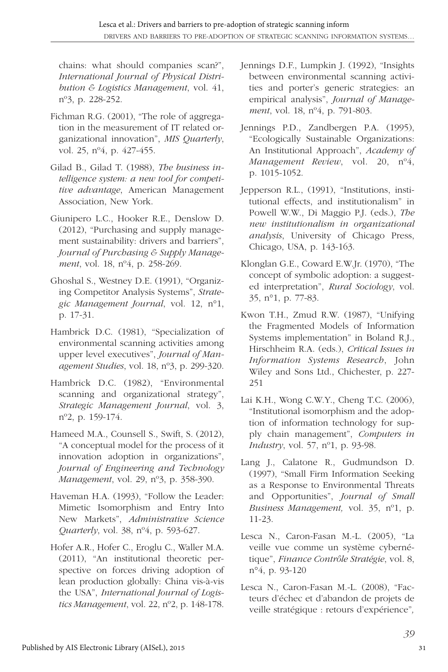chains: what should companies scan?", *International Journal of Physical Distribution & Logistics Management*, vol. 41, nº3, p. 228-252.

- Fichman R.G. (2001), "The role of aggregation in the measurement of IT related organizational innovation", *MIS Quarterly*, vol. 25, nº4, p. 427-455.
- Gilad B., Gilad T. (1988), *The business intelligence system: a new tool for competitive advantage*, American Management Association, New York.
- Giunipero L.C., Hooker R.E., Denslow D. (2012), "Purchasing and supply management sustainability: drivers and barriers", *Journal of Purchasing & Supply Management*, vol. 18, nº4, p. 258-269.
- Ghoshal S., Westney D.E. (1991), "Organizing Competitor Analysis Systems", *Strategic Management Journal*, vol. 12, n°1, p. 17-31.
- Hambrick D.C. (1981), "Specialization of environmental scanning activities among upper level executives", *Journal of Management Studies*, vol. 18, nº3, p. 299-320.
- Hambrick D.C. (1982), "Environmental scanning and organizational strategy", *Strategic Management Journal*, vol. 3, nº2, p. 159-174.
- Hameed M.A., Counsell S., Swift, S. (2012), "A conceptual model for the process of it innovation adoption in organizations", *Journal of Engineering and Technology Management*, vol. 29, nº3, p. 358-390.
- Haveman H.A. (1993), "Follow the Leader: Mimetic Isomorphism and Entry Into New Markets", *Administrative Science Quarterly*, vol. 38, nº4, p. 593-627.
- Hofer A.R., Hofer C., Eroglu C., Waller M.A. (2011), "An institutional theoretic perspective on forces driving adoption of lean production globally: China vis-à-vis the USA", *International Journal of Logistics Management*, vol. 22, nº2, p. 148-178.
- Jennings D.F., Lumpkin J. (1992), "Insights between environmental scanning activities and porter's generic strategies: an empirical analysis", *Journal of Management*, vol. 18, nº4, p. 791-803.
- Jennings P.D., Zandbergen P.A. (1995), "Ecologically Sustainable Organizations: An Institutional Approach", *Academy of Management Review*, vol. 20, nº4, p. 1015-1052.
- Jepperson R.L., (1991), "Institutions, institutional effects, and institutionalism" in Powell W.W., Di Maggio P.J. (eds.), *The new institutionalism in organizational analysis*, University of Chicago Press, Chicago, USA, p. 143-163.
- Klonglan G.E., Coward E.W.Jr. (1970), "The concept of symbolic adoption: a suggested interpretation", *Rural Sociology*, vol. 35, n°1, p. 77-83.
- Kwon T.H., Zmud R.W. (1987), "Unifying the Fragmented Models of Information Systems implementation" in Boland R.J., Hirschheim R.A. (eds.), *Critical Issues in Information Systems Research*, John Wiley and Sons Ltd., Chichester, p. 227- 251
- Lai K.H., Wong C.W.Y., Cheng T.C. (2006), "Institutional isomorphism and the adoption of information technology for supply chain management", *Computers in Industry*, vol. 57, nº1, p. 93-98.
- Lang J., Calatone R., Gudmundson D. (1997), "Small Firm Information Seeking as a Response to Environmental Threats and Opportunities", *Journal of Small Business Management,* vol. 35, nº1, p. 11-23.
- Lesca N., Caron-Fasan M.-L. (2005), "La veille vue comme un système cybernétique", *Finance Contrôle Stratégie*, vol. 8, n°4, p. 93-120
- Lesca N., Caron-Fasan M.-L. (2008), "Facteurs d'échec et d'abandon de projets de veille stratégique : retours d'expérience"*,*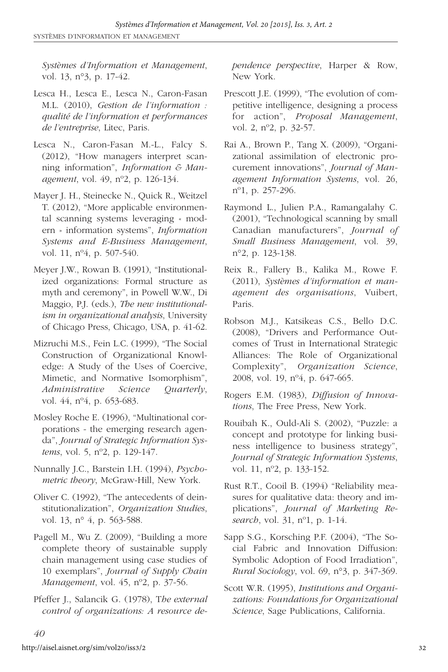*Systèmes d'Information et Management*, vol. 13, n°3, p. 17-42.

- Lesca H., Lesca E., Lesca N., Caron-Fasan M.L. (2010), *Gestion de l'information : qualité de l'information et performances de l'entreprise*, Litec, Paris.
- Lesca N., Caron-Fasan M.-L., Falcy S. (2012), "How managers interpret scanning information", *Information & Management*, vol. 49, nº2, p. 126-134.
- Mayer J. H., Steinecke N., Quick R., Weitzel T. (2012), "More applicable environmental scanning systems leveraging « modern » information systems", *Information Systems and E-Business Management*, vol. 11, nº4, p. 507-540.
- Meyer J.W., Rowan B. (1991), "Institutionalized organizations: Formal structure as myth and ceremony", in Powell W.W., Di Maggio, P.J. (eds.), *The new institutionalism in organizational analysis*, University of Chicago Press, Chicago, USA, p. 41-62.
- Mizruchi M.S., Fein L.C. (1999), "The Social Construction of Organizational Knowledge: A Study of the Uses of Coercive, Mimetic, and Normative Isomorphism", *Administrative Science Quarterly*, vol. 44, nº4, p. 653-683.
- Mosley Roche E. (1996), "Multinational corporations - the emerging research agenda", *Journal of Strategic Information Systems*, vol. 5, nº2, p. 129-147.
- Nunnally J.C., Barstein I.H. (1994), *Psychometric theory*, McGraw-Hill, New York.
- Oliver C. (1992), "The antecedents of deinstitutionalization", *Organization Studies*, vol. 13, n<sup>o</sup> 4, p. 563-588.
- Pagell M., Wu Z. (2009), "Building a more complete theory of sustainable supply chain management using case studies of 10 exemplars", *Journal of Supply Chain Management*, vol. 45, nº2, p. 37-56.
- Pfeffer J., Salancik G. (1978), T*he external control of organizations: A resource de-*

*pendence perspective*, Harper & Row, New York.

- Prescott J.E. (1999), "The evolution of competitive intelligence, designing a process for action", *Proposal Management*, vol. 2, nº2, p. 32-57.
- Rai A., Brown P., Tang X. (2009), "Organizational assimilation of electronic procurement innovations", *Journal of Management Information Systems*, vol. 26, nº1, p. 257-296.
- Raymond L., Julien P.A., Ramangalahy C. (2001), "Technological scanning by small Canadian manufacturers", *Journal of Small Business Management*, vol. 39, n°2, p. 123-138.
- Reix R., Fallery B., Kalika M., Rowe F. (2011), *Systèmes d'information et management des organisations*, Vuibert, Paris.
- Robson M.J., Katsikeas C.S., Bello D.C. (2008), "Drivers and Performance Outcomes of Trust in International Strategic Alliances: The Role of Organizational Complexity", *Organization Science*, 2008, vol. 19, nº4, p. 647-665.
- Rogers E.M. (1983), *Diffusion of Innovations*, The Free Press, New York.
- Rouibah K., Ould-Ali S. (2002), "Puzzle: a concept and prototype for linking business intelligence to business strategy", *Journal of Strategic Information Systems*, vol. 11, nº2, p. 133-152.
- Rust R.T., Cooil B. (1994) "Reliability measures for qualitative data: theory and implications", *Journal of Marketing Research*, vol. 31, nº1, p. 1-14.
- Sapp S.G., Korsching P.F. (2004), "The Social Fabric and Innovation Diffusion: Symbolic Adoption of Food Irradiation", *Rural Sociology*, vol. 69, n°3, p. 347-369.
- Scott W.R. (1995), *Institutions and Organizations: Foundations for Organizational Science*, Sage Publications, California.

*40*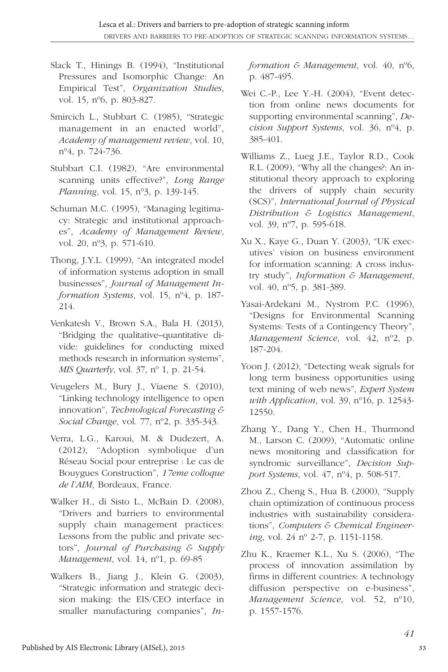- Slack T., Hinings B. (1994), "Institutional Pressures and Isomorphic Change: An Empirical Test", *Organization Studies*, vol. 15, nº6, p. 803-827.
- Smircich L., Stubbart C. (1985), "Strategic management in an enacted world", *Academy of management review*, vol. 10, nº4, p. 724-736.
- Stubbart C.I. (1982), "Are environmental scanning units effective?", *Long Range Planning*, vol. 15, nº3, p. 139-145.
- Schuman M.C. (1995), "Managing legitimacy: Strategic and institutional approaches", *Academy of Management Review*, vol. 20, nº3, p. 571-610.
- Thong, J.Y.L. (1999), "An integrated model of information systems adoption in small businesses", *Journal of Management Information Systems*, vol. 15, nº4, p. 187- 214.
- Venkatesh V., Brown S.A., Bala H. (2013), "Bridging the qualitative–quantitative divide: guidelines for conducting mixed methods research in information systems", *MIS Quarterly*, vol. 37, nº 1, p. 21-54.
- Veugelers M., Bury J., Viaene S. (2010), "Linking technology intelligence to open innovation", *Technological Forecasting & Social Change*, vol. 77, nº2, p. 335-343.
- Verra, L.G., Karoui, M. & Dudezert, A. (2012), "Adoption symbolique d'un Réseau Social pour entreprise : Le cas de Bouygues Construction", 17eme colloque *de l'AIM*, Bordeaux, France.
- Walker H., di Sisto L., McBain D. (2008), "Drivers and barriers to environmental supply chain management practices: Lessons from the public and private sectors", *Journal of Purchasing & Supply Management*, vol. 14, nº1, p. 69-85
- Walkers B., Jiang J., Klein G. (2003), "Strategic information and strategic decision making: the EIS/CEO interface in smaller manufacturing companies", *In-*

*formation & Management*, vol. 40, nº6, p. 487-495.

- Wei C.-P., Lee Y.-H. (2004), "Event detection from online news documents for supporting environmental scanning", *Decision Support Systems*, vol. 36, nº4, p. 385-401.
- Williams Z., Lueg J.E., Taylor R.D., Cook R.L. (2009), "Why all the changes?: An institutional theory approach to exploring the drivers of supply chain security (SCS)", *International Journal of Physical Distribution & Logistics Management*, vol. 39, nº7, p. 595-618.
- Xu X., Kaye G., Duan Y. (2003), "UK executives' vision on business environment for information scanning: A cross industry study", *Information & Management*, vol. 40, nº5, p. 381-389.
- Yasai-Ardekani M., Nystrom P.C. (1996), "Designs for Environmental Scanning Systems: Tests of a Contingency Theory", *Management Science*, vol. 42, nº2, p. 187-204.
- Yoon J. (2012), "Detecting weak signals for long term business opportunities using text mining of web news", *Expert System with Application*, vol. 39, nº16, p. 12543- 12550.
- Zhang Y., Dang Y., Chen H., Thurmond M., Larson C. (2009), "Automatic online news monitoring and classification for syndromic surveillance", *Decision Support Systems*, vol. 47, nº4, p. 508-517.
- Zhou Z., Cheng S., Hua B. (2000), "Supply chain optimization of continuous process industries with sustainability considerations", *Computers & Chemical Engineering*, vol. 24 nº 2-7, p. 1151-1158.
- Zhu K., Kraemer K.L., Xu S. (2006), "The process of innovation assimilation by firms in different countries: A technology diffusion perspective on e-business", *Management Science*, vol. 52, nº10, p. 1557-1576.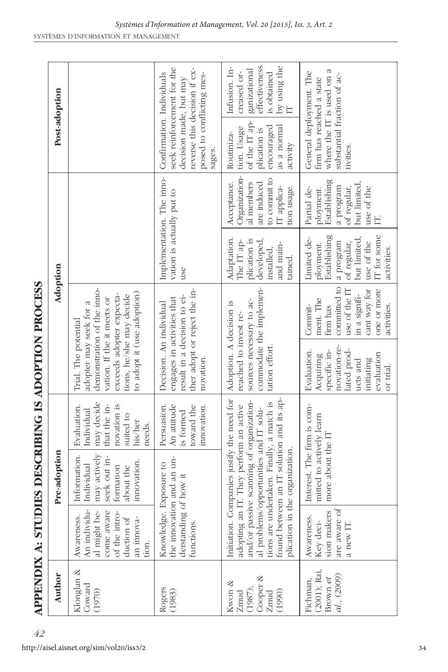| こうしょく りょうしょうしょう                |                                             |  |
|--------------------------------|---------------------------------------------|--|
|                                |                                             |  |
|                                |                                             |  |
|                                |                                             |  |
|                                | I                                           |  |
|                                | Í                                           |  |
|                                |                                             |  |
|                                |                                             |  |
|                                |                                             |  |
|                                |                                             |  |
|                                |                                             |  |
|                                |                                             |  |
|                                |                                             |  |
|                                |                                             |  |
|                                |                                             |  |
|                                |                                             |  |
|                                |                                             |  |
|                                |                                             |  |
|                                |                                             |  |
| <b>CHICAGES CELL CELL CELL</b> |                                             |  |
|                                |                                             |  |
|                                |                                             |  |
|                                |                                             |  |
|                                |                                             |  |
|                                |                                             |  |
|                                |                                             |  |
|                                |                                             |  |
|                                |                                             |  |
| $\frac{1}{2}$                  | ֖֖֧֧֧֖֧֧֚֚֚֚֚֚֚֚֚֚֚֚֚֚֚֚֚֚֚֚֚֚֚֚֚֬֝֓֝֬֝֬֝֓֝ |  |
|                                |                                             |  |
|                                |                                             |  |
|                                |                                             |  |
|                                |                                             |  |
| ί                              | J<br>ć                                      |  |
|                                |                                             |  |

|                                                            | <b>APPENDIX A: STUDIE</b>                                                                                      |                                                                                                                                                                             |                                                                                                          |                                                                                                                                                                                                  | <b>S DESCRIBING IS ADOPTION PROCESS</b>                                                                                          |                                                                                                                                  |                                                                                                         |                                                                                                                                                          |                                                                                                   |
|------------------------------------------------------------|----------------------------------------------------------------------------------------------------------------|-----------------------------------------------------------------------------------------------------------------------------------------------------------------------------|----------------------------------------------------------------------------------------------------------|--------------------------------------------------------------------------------------------------------------------------------------------------------------------------------------------------|----------------------------------------------------------------------------------------------------------------------------------|----------------------------------------------------------------------------------------------------------------------------------|---------------------------------------------------------------------------------------------------------|----------------------------------------------------------------------------------------------------------------------------------------------------------|---------------------------------------------------------------------------------------------------|
| Author                                                     |                                                                                                                | Pre-adoption                                                                                                                                                                |                                                                                                          |                                                                                                                                                                                                  | Adoption                                                                                                                         |                                                                                                                                  |                                                                                                         |                                                                                                                                                          | Post-adoption                                                                                     |
| Klonglan &<br>Coward<br>(1970)                             | An individu-<br>al might be-<br>come aware<br>of the intro-<br>Awareness.<br>duction of<br>an innova-<br>tion. | nay actively<br>Information.<br>seek out in-<br>movation.<br>ndividual<br>formation<br>bout the                                                                             | may decide<br>that the in-<br>novation is<br>Evaluation.<br>Individual<br>suited to<br>his/her<br>needs. | demonstration of the inno-<br>to adopt it (use adoption)<br>exceeds adopter expecta-<br>tions, he/she may decide<br>vation. If the it meets or<br>adopter may seek for a<br>Trial. The potential |                                                                                                                                  |                                                                                                                                  |                                                                                                         |                                                                                                                                                          |                                                                                                   |
| Rogers<br>(1983)                                           | Knowledge. Ex<br>the innovation<br>derstanding of<br>functions.                                                | and an un-<br>posure to<br>how it                                                                                                                                           | Persuasion.<br>An attitude<br>toward the<br>innovation.<br>is formed                                     | ther adopt or reject the in-<br>result in a decision to ei-<br>engages in activities that<br>Decision. An individual<br>novation                                                                 |                                                                                                                                  | Implementation. The inno-<br>vation is actually put to<br>use                                                                    |                                                                                                         | seek reinforcement for the<br>reverse this decision if ex-<br>Confirmation. Individuals<br>posed to conflicting mes-<br>decision made, but may<br>sages. |                                                                                                   |
| Cooper &<br>≪<br>(1987);<br>Kwon<br>(1990)<br>Zmud<br>Zmud | found between<br>plication in the<br>Initiation. Comp<br>and/or passive                                        | scanning of organization-<br>tions are undertaken. Finally, a match is<br>adopting an IT. They perform an active<br>al problems/opportunities and IT solu-<br>organization. | panies justify the need for<br>an IT solution and its ap-                                                | sources necessary to ac-<br>Adoption. A decision is<br>reached to invest re-<br>tation effort.                                                                                                   | commodate the implemen-                                                                                                          | Adaptation.<br>plication is<br>developed,<br>The IT ap-<br>and main-<br>installed,<br>tained.                                    | Organization-<br>to commit to<br>Acceptance.<br>are induced<br>al members<br>IT applica-<br>tion usage. | of the IT ap-<br>encouraged<br>as a normal<br>tion. Usage<br>plication is<br>Routiniza-<br>activity                                                      | effectiveness<br>Infusion. In-<br>by using the<br>ganizational<br>is obtained<br>creased or-<br>E |
| (2001); Rai,<br>al., (2009)<br>Fichman,<br>Brown et        | are aware of<br>sion makers<br>Awareness.<br>Key deci-<br>a new IT                                             | Interest. The firm is com-<br>mitted to actively learn<br>more about the IT                                                                                                 |                                                                                                          | novation-re-<br>specific in-<br>Evaluation.<br>lated prod-<br>evaluation<br>Acquiring<br>initiating<br>ucts and<br>or trial                                                                      | committed to<br>use of the IT<br>one or more<br>cant way for<br>in a signifi-<br>ment. The<br>Commit-<br>firm has<br>activities. | IT for some<br>Establishing<br>Limited de-<br>but limited,<br>use of the<br>a program<br>of regular,<br>ployment.<br>activities. | Establishing<br>but limited,<br>a program<br>of regular,<br>Partial de-<br>use of the<br>ployment.      | where the IT is used on a<br>General deployment. The<br>substantial fraction of ac-<br>firm has reached a state<br>tivities                              |                                                                                                   |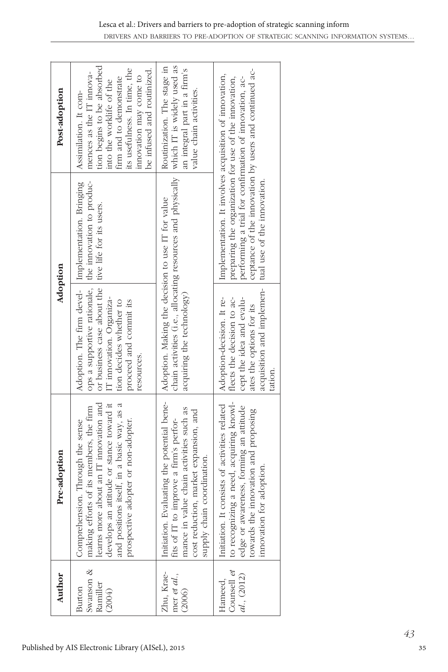| Author                                    | Pre-adoption                                                                                                                                                                                                                                           | Adoption                                                                                                                                                                                                                                                          |                                                                                                                                                                                                                                    | Post-adoption                                                                                                                                                                                                                  |
|-------------------------------------------|--------------------------------------------------------------------------------------------------------------------------------------------------------------------------------------------------------------------------------------------------------|-------------------------------------------------------------------------------------------------------------------------------------------------------------------------------------------------------------------------------------------------------------------|------------------------------------------------------------------------------------------------------------------------------------------------------------------------------------------------------------------------------------|--------------------------------------------------------------------------------------------------------------------------------------------------------------------------------------------------------------------------------|
| Swanson &<br>Ramiller<br>Burton<br>(2004) | learns more about an IT innovation and<br>develops an attitude or stance toward it<br>and positions itself, in a basic way, as a<br>making efforts of its members, the firm<br>prospective adopter or non-adopter.<br>Comprehension. Through the sense | ops a supportive rationale, the innovation to produc-<br>Adoption. The firm devel- Implementation. Bringing<br>or business case about the live life for its users.<br>IT innovation. Organiza-<br>tion decides whether to<br>proceed and commit its<br>resources. |                                                                                                                                                                                                                                    | tion begins to be absorbed<br>its usefulness. In time, the<br>be infused and routinized.<br>mences as the IT innova-<br>innovation may come to<br>firm and to demonstrate<br>into the worklife of the<br>Assimilation. It com- |
| Zhu, Krae-<br>mer et al.,<br>(2006)       | Initiation. Evaluating the potential bene-<br>mance in value chain activities such as<br>cost reduction, market expansion, and<br>fits of IT to improve a firm's perfor-<br>coordination.<br>supply chain                                              | Adoption. Making the decision to use IT for value<br>acquiring the technology)                                                                                                                                                                                    | chain activities (i.e., allocating resources and physically which IT is widely used as                                                                                                                                             | Routinization. The stage in<br>an integral part in a firm's<br>value chain activities.                                                                                                                                         |
| Counsell et<br>al., (2012)<br>Hameed,     | to recognizing a need, acquiring knowl-<br>Initiation. It consists of activities related<br>edge or awareness, forming an attitude<br>towards the innovation and proposing<br>innovation for adoption.                                                 | acquisition and implemen-   tual use of the innovation.<br>Adoption-decision. It re-<br>flects the decision to ac-<br>cept the idea and evalu-<br>ates the options for its<br>tation.                                                                             | ceptance of the innovation by users and continued ac-<br>Implementation. It involves acquisition of innovation,<br>preparing the organization for use of the innovation,<br>performing a trial for confirmation of innovation, ac- |                                                                                                                                                                                                                                |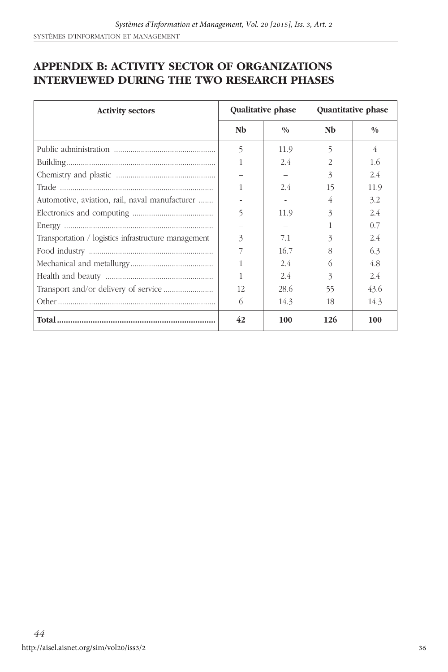#### **APPENDIX B: ACTIVITY SECTOR OF ORGANIZATIONS INTERVIEWED DURING THE TWO RESEARCH PHASES**

| <b>Activity sectors</b>                              |    | Qualitative phase | Quantitative phase |               |  |
|------------------------------------------------------|----|-------------------|--------------------|---------------|--|
|                                                      | Nb | 0/0               | Nb                 | $\frac{0}{0}$ |  |
|                                                      | 5  | 11.9              | 5                  | 4             |  |
|                                                      | 1  | 2.4               | 2                  | 1.6           |  |
|                                                      |    |                   | 3                  | 2.4           |  |
|                                                      | 1  | 2.4               | 15                 | 11.9          |  |
| Automotive, aviation, rail, naval manufacturer       |    |                   | 4                  | 3.2           |  |
|                                                      | 5  | 11.9              | 3                  | 2.4           |  |
|                                                      |    |                   |                    | 0.7           |  |
| Transportation / logistics infrastructure management | 3  | 7.1               | 3                  | 2.4           |  |
|                                                      | 7  | 16.7              | 8                  | 6.3           |  |
|                                                      | 1  | 2.4               | 6                  | 4.8           |  |
|                                                      | 1  | 2.4               | 3                  | 2.4           |  |
|                                                      | 12 | 28.6              | 55                 | 43.6          |  |
|                                                      | 6  | 14.3              | 18                 | 14.3          |  |
|                                                      | 42 | 100               | 126                | 100           |  |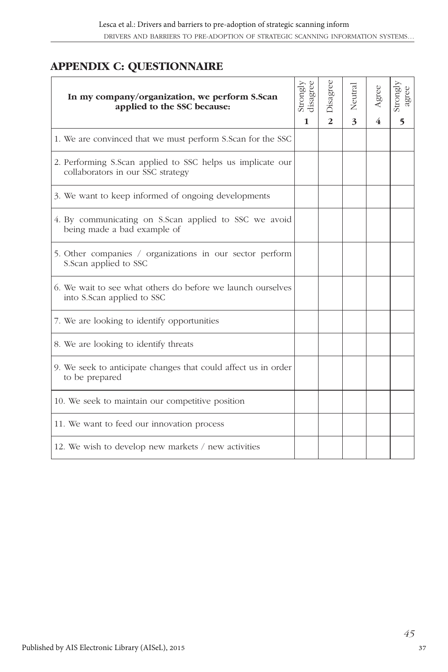#### **APPENDIX C: QUESTIONNAIRE**

| In my company/organization, we perform S.Scan<br>applied to the SSC because:                    | Strongly<br>disagree | Disagree       | Neutral | gree | Strongly<br>agree        |
|-------------------------------------------------------------------------------------------------|----------------------|----------------|---------|------|--------------------------|
|                                                                                                 | 1                    | $\overline{2}$ | 3       |      | $\overline{\phantom{0}}$ |
| 1. We are convinced that we must perform S.Scan for the SSC                                     |                      |                |         |      |                          |
| 2. Performing S.Scan applied to SSC helps us implicate our<br>collaborators in our SSC strategy |                      |                |         |      |                          |
| 3. We want to keep informed of ongoing developments                                             |                      |                |         |      |                          |
| 4. By communicating on S.Scan applied to SSC we avoid<br>being made a bad example of            |                      |                |         |      |                          |
| 5. Other companies / organizations in our sector perform<br>S.Scan applied to SSC               |                      |                |         |      |                          |
| 6. We wait to see what others do before we launch ourselves<br>into S.Scan applied to SSC       |                      |                |         |      |                          |
| 7. We are looking to identify opportunities                                                     |                      |                |         |      |                          |
| 8. We are looking to identify threats                                                           |                      |                |         |      |                          |
| 9. We seek to anticipate changes that could affect us in order<br>to be prepared                |                      |                |         |      |                          |
| 10. We seek to maintain our competitive position                                                |                      |                |         |      |                          |
| 11. We want to feed our innovation process                                                      |                      |                |         |      |                          |
| 12. We wish to develop new markets / new activities                                             |                      |                |         |      |                          |